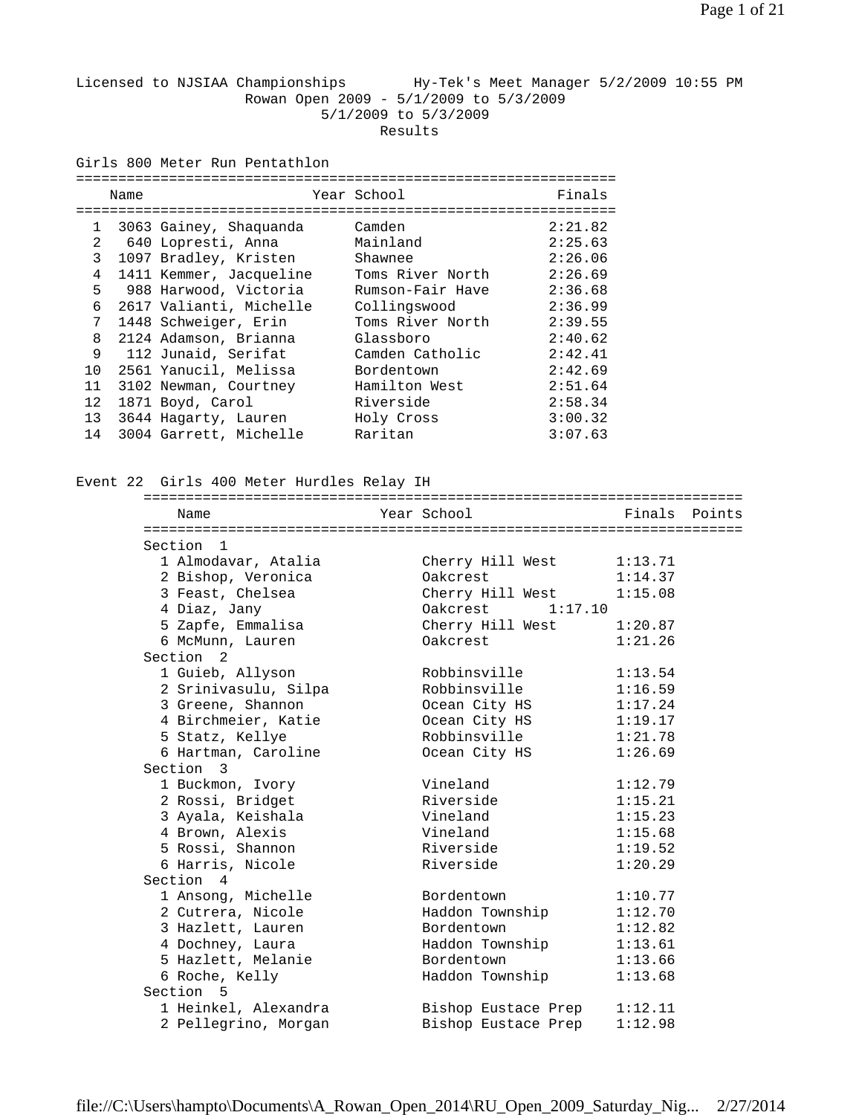## Licensed to NJSIAA Championships Hy-Tek's Meet Manager 5/2/2009 10:55 PM Rowan Open 2009 - 5/1/2009 to 5/3/2009 5/1/2009 to 5/3/2009 Results

Girls 800 Meter Run Pentathlon

|              | Name |                         | Year School      | Finals  |
|--------------|------|-------------------------|------------------|---------|
|              |      |                         |                  |         |
| $\mathbf{1}$ |      | 3063 Gainey, Shaquanda  | Camden           | 2:21.82 |
| 2            |      | 640 Lopresti, Anna      | Mainland         | 2:25.63 |
| 3            |      | 1097 Bradley, Kristen   | Shawnee          | 2:26.06 |
| 4            |      | 1411 Kemmer, Jacqueline | Toms River North | 2:26.69 |
| 5            |      | 988 Harwood, Victoria   | Rumson-Fair Have | 2:36.68 |
| 6            |      | 2617 Valianti, Michelle | Collingswood     | 2:36.99 |
| 7            |      | 1448 Schweiger, Erin    | Toms River North | 2:39.55 |
| 8            |      | 2124 Adamson, Brianna   | Glassboro        | 2:40.62 |
| 9            |      | 112 Junaid, Serifat     | Camden Catholic  | 2:42.41 |
| 10           |      | 2561 Yanucil, Melissa   | Bordentown       | 2:42.69 |
| 11           |      | 3102 Newman, Courtney   | Hamilton West    | 2:51.64 |
| 12           |      | 1871 Boyd, Carol        | Riverside        | 2:58.34 |
| 13           |      | 3644 Hagarty, Lauren    | Holy Cross       | 3:00.32 |
| 14           |      | 3004 Garrett, Michelle  | Raritan          | 3:07.63 |

Event 22 Girls 400 Meter Hurdles Relay IH

| Name                 | Year School         | Finals Points |
|----------------------|---------------------|---------------|
| Section 1            |                     |               |
| 1 Almodavar, Atalia  | Cherry Hill West    | 1:13.71       |
| 2 Bishop, Veronica   | Oakcrest            | 1:14.37       |
| 3 Feast, Chelsea     | Cherry Hill West    | 1:15.08       |
| 4 Diaz, Jany         | 0akcrest 1:17.10    |               |
| 5 Zapfe, Emmalisa    | Cherry Hill West    | 1:20.87       |
| 6 McMunn, Lauren     | Oakcrest            | 1:21.26       |
| Section <sub>2</sub> |                     |               |
| 1 Guieb, Allyson     | Robbinsville        | 1:13.54       |
| 2 Srinivasulu, Silpa | Robbinsville        | 1:16.59       |
| 3 Greene, Shannon    | Ocean City HS       | 1:17.24       |
| 4 Birchmeier, Katie  | Ocean City HS       | 1:19.17       |
| 5 Statz, Kellye      | Robbinsville        | 1:21.78       |
| 6 Hartman, Caroline  | Ocean City HS       | 1:26.69       |
| Section 3            |                     |               |
| 1 Buckmon, Ivory     | Vineland            | 1:12.79       |
| 2 Rossi, Bridget     | Riverside           | 1:15.21       |
| 3 Ayala, Keishala    | Vineland            | 1:15.23       |
| 4 Brown, Alexis      | Vineland            | 1:15.68       |
| 5 Rossi, Shannon     | Riverside           | 1:19.52       |
| 6 Harris, Nicole     | Riverside           | 1:20.29       |
| Section 4            |                     |               |
| 1 Ansong, Michelle   | Bordentown          | 1:10.77       |
| 2 Cutrera, Nicole    | Haddon Township     | 1:12.70       |
| 3 Hazlett, Lauren    | Bordentown          | 1:12.82       |
| 4 Dochney, Laura     | Haddon Township     | 1:13.61       |
| 5 Hazlett, Melanie   | Bordentown          | 1:13.66       |
| 6 Roche, Kelly       | Haddon Township     | 1:13.68       |
| Section <sub>5</sub> |                     |               |
| 1 Heinkel, Alexandra | Bishop Eustace Prep | 1:12.11       |
| 2 Pellegrino, Morgan | Bishop Eustace Prep | 1:12.98       |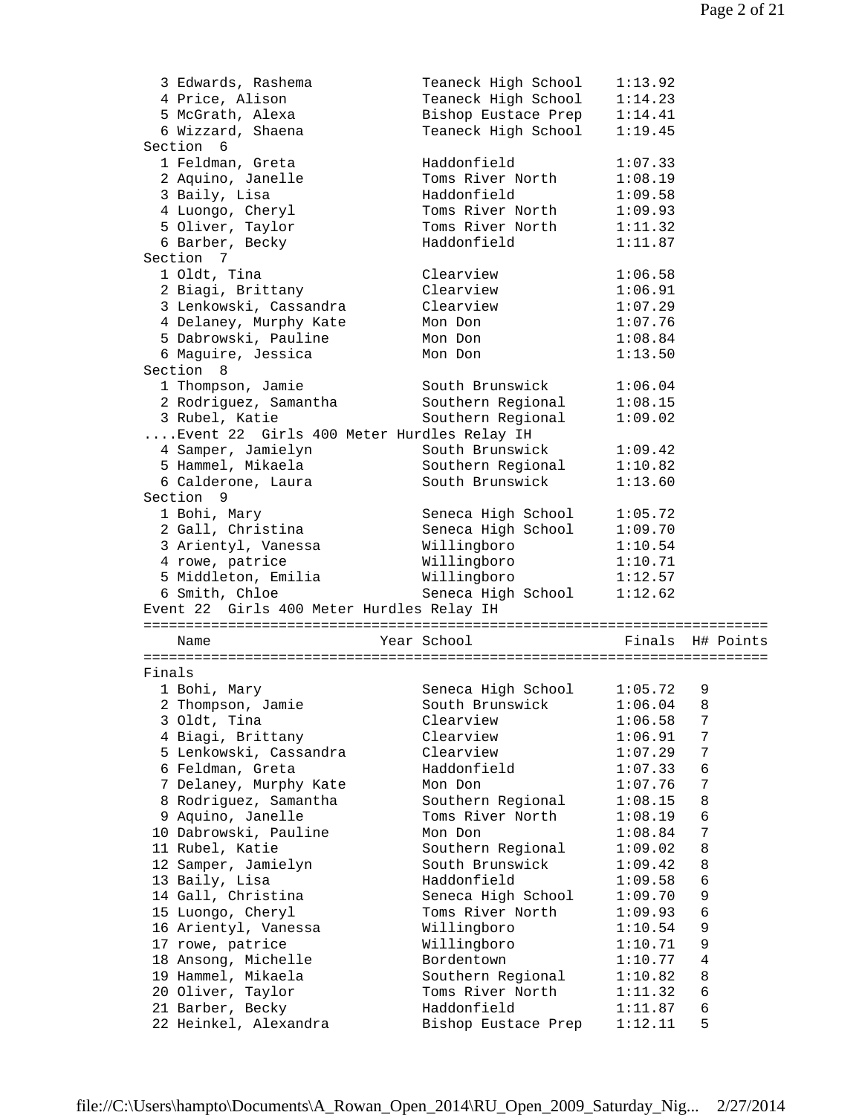|        | 3 Edwards, Rashema                        | Teaneck High School<br>1:13.92                                     |  |
|--------|-------------------------------------------|--------------------------------------------------------------------|--|
|        | 4 Price, Alison                           | Teaneck High School<br>1:14.23                                     |  |
|        | 5 McGrath, Alexa                          | Bishop Eustace Prep<br>1:14.41                                     |  |
|        | 6 Wizzard, Shaena                         | Teaneck High School<br>1:19.45                                     |  |
|        | Section 6                                 |                                                                    |  |
|        | 1 Feldman, Greta                          | Haddonfield<br>1:07.33                                             |  |
|        | 2 Aquino, Janelle                         | Toms River North<br>1:08.19                                        |  |
|        | 3 Baily, Lisa                             | Haddonfield<br>1:09.58                                             |  |
|        | 4 Luongo, Cheryl                          | Toms River North<br>1:09.93                                        |  |
|        | 5 Oliver, Taylor                          | Toms River North<br>1:11.32                                        |  |
|        | 6 Barber, Becky                           | Haddonfield<br>1:11.87                                             |  |
|        | Section 7                                 |                                                                    |  |
|        | 1 Oldt, Tina                              | Clearview<br>1:06.58                                               |  |
|        | 2 Biagi, Brittany                         | Clearview<br>1:06.91                                               |  |
|        | 3 Lenkowski, Cassandra                    | Clearview<br>1:07.29                                               |  |
|        |                                           | 1:07.76                                                            |  |
|        | 4 Delaney, Murphy Kate                    | Mon Don                                                            |  |
|        | 5 Dabrowski, Pauline                      | 1:08.84<br>Mon Don                                                 |  |
|        | 6 Maguire, Jessica                        | 1:13.50<br>Mon Don                                                 |  |
|        | Section 8                                 |                                                                    |  |
|        | 1 Thompson, Jamie                         | South Brunswick<br>1:06.04                                         |  |
|        | 2 Rodriguez, Samantha                     | Southern Regional<br>1:08.15                                       |  |
|        | 3 Rubel, Katie                            | Southern Regional<br>1:09.02                                       |  |
|        | Event 22 Girls 400 Meter Hurdles Relay IH |                                                                    |  |
|        | 4 Samper, Jamielyn                        | South Brunswick<br>1:09.42                                         |  |
|        | 5 Hammel, Mikaela                         | Southern Regional<br>1:10.82                                       |  |
|        | 6 Calderone, Laura                        | South Brunswick<br>1:13.60                                         |  |
|        | Section 9                                 |                                                                    |  |
|        | 1 Bohi, Mary                              | 1:05.72<br>Seneca High School                                      |  |
|        | 2 Gall, Christina                         | Seneca High School<br>1:09.70                                      |  |
|        | 3 Arientyl, Vanessa                       | Willingboro<br>1:10.54                                             |  |
|        | 4 rowe, patrice                           | Willingboro<br>1:10.71                                             |  |
|        | 5 Middleton, Emilia                       | Willingboro<br>1:12.57                                             |  |
|        | 6 Smith, Chloe                            | Seneca High School<br>1:12.62                                      |  |
|        | Event 22 Girls 400 Meter Hurdles Relay IH |                                                                    |  |
|        |                                           |                                                                    |  |
|        | Name                                      | Year School<br>Finals H# Points                                    |  |
|        |                                           |                                                                    |  |
| Finals |                                           |                                                                    |  |
|        | 1 Bohi, Mary                              | Seneca High School<br>1:05.72<br>9                                 |  |
|        |                                           | 1:06.04                                                            |  |
|        | 2 Thompson, Jamie                         | South Brunswick<br>8                                               |  |
|        | 3 Oldt, Tina                              | 1:06.58<br>7<br>Clearview                                          |  |
|        | 4 Biagi, Brittany                         | Clearview<br>1:06.91<br>7                                          |  |
|        | 5 Lenkowski, Cassandra                    | Clearview<br>1:07.29<br>7                                          |  |
|        | 6 Feldman, Greta                          | Haddonfield<br>$\epsilon$<br>1:07.33                               |  |
|        | 7 Delaney, Murphy Kate                    | 1:07.76<br>7<br>Mon Don                                            |  |
|        | 8 Rodriguez, Samantha                     | Southern Regional<br>8<br>1:08.15                                  |  |
|        | 9 Aquino, Janelle                         | 6<br>Toms River North<br>1:08.19                                   |  |
|        | 10 Dabrowski, Pauline                     | 7<br>Mon Don<br>1:08.84                                            |  |
|        |                                           |                                                                    |  |
|        | 11 Rubel, Katie                           | Southern Regional<br>8<br>1:09.02                                  |  |
|        |                                           | South Brunswick<br>8<br>1:09.42                                    |  |
|        | 12 Samper, Jamielyn                       | Haddonfield                                                        |  |
|        | 13 Baily, Lisa                            | 6<br>1:09.58                                                       |  |
|        | 14 Gall, Christina                        | 9<br>Seneca High School<br>1:09.70                                 |  |
|        | 15 Luongo, Cheryl                         | 6<br>Toms River North<br>1:09.93                                   |  |
|        | 16 Arientyl, Vanessa                      | Willingboro<br>9<br>1:10.54                                        |  |
|        | 17 rowe, patrice                          | Willingboro<br>9<br>1:10.71                                        |  |
|        | 18 Ansong, Michelle                       | Bordentown<br>4<br>1:10.77                                         |  |
|        | 19 Hammel, Mikaela                        | Southern Regional<br>1:10.82<br>8                                  |  |
|        | 20 Oliver, Taylor                         | 6<br>Toms River North<br>1:11.32                                   |  |
|        | 21 Barber, Becky<br>22 Heinkel, Alexandra | Haddonfield<br>6<br>1:11.87<br>5<br>Bishop Eustace Prep<br>1:12.11 |  |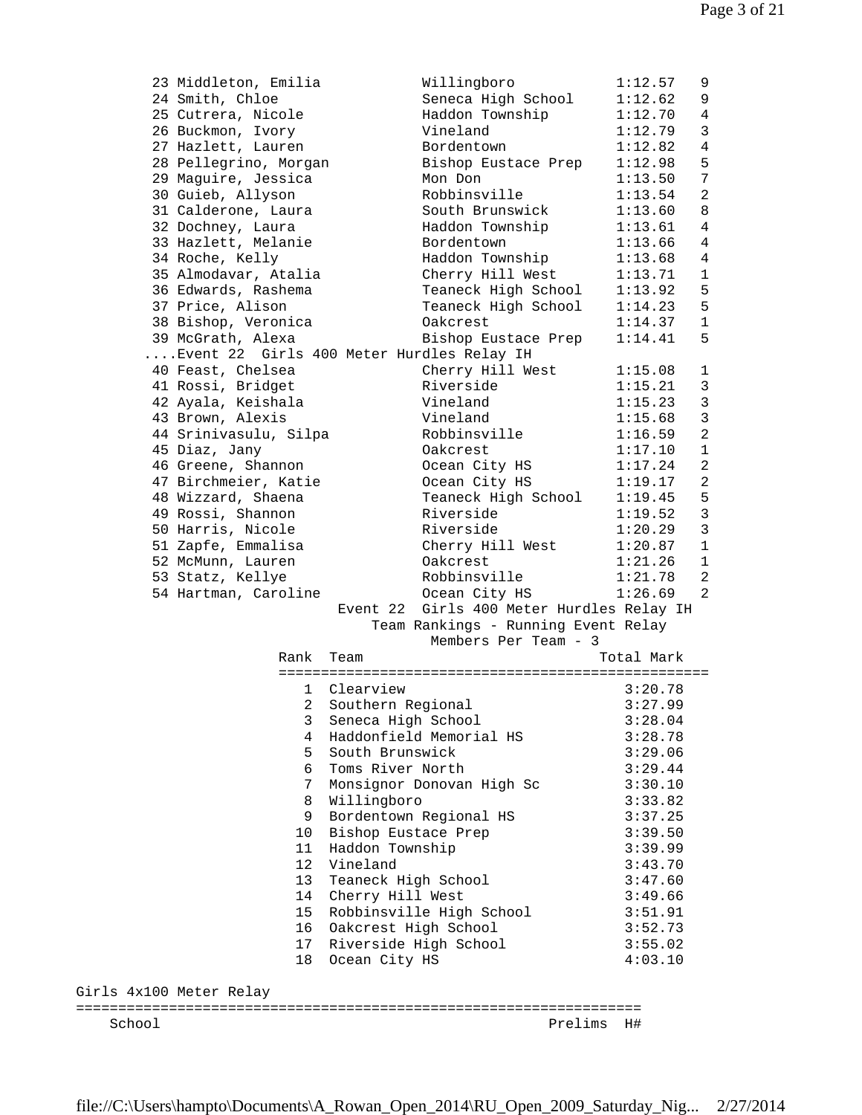| 23 Middleton, Emilia                      |                 |                      | Willingboro                               | 1:12.57    | 9              |
|-------------------------------------------|-----------------|----------------------|-------------------------------------------|------------|----------------|
| 24 Smith, Chloe                           |                 |                      | Seneca High School                        | 1:12.62    | 9              |
| 25 Cutrera, Nicole                        |                 |                      | Haddon Township                           | 1:12.70    | 4              |
| 26 Buckmon, Ivory                         |                 |                      | Vineland                                  | 1:12.79    | 3              |
| 27 Hazlett, Lauren                        |                 |                      | Bordentown                                | 1:12.82    | 4              |
| 28 Pellegrino, Morgan                     |                 |                      | Bishop Eustace Prep                       | 1:12.98    | 5              |
| 29 Maguire, Jessica                       |                 |                      | Mon Don                                   | 1:13.50    | 7              |
| 30 Guieb, Allyson                         |                 |                      | Robbinsville                              | 1:13.54    | $\mathbf{2}$   |
| 31 Calderone, Laura                       |                 |                      | South Brunswick                           | 1:13.60    | 8              |
| 32 Dochney, Laura                         |                 |                      | Haddon Township                           | 1:13.61    | 4              |
| 33 Hazlett, Melanie                       |                 |                      | Bordentown                                | 1:13.66    | 4              |
| 34 Roche, Kelly                           |                 |                      | Haddon Township                           | 1:13.68    | 4              |
| 35 Almodavar, Atalia                      |                 |                      | Cherry Hill West                          | 1:13.71    | $\mathbf 1$    |
| 36 Edwards, Rashema                       |                 |                      | Teaneck High School                       | 1:13.92    | 5              |
| 37 Price, Alison                          |                 |                      | Teaneck High School                       | 1:14.23    | 5              |
| 38 Bishop, Veronica                       |                 |                      | Oakcrest                                  | 1:14.37    | $\mathbf 1$    |
| 39 McGrath, Alexa                         |                 |                      | Bishop Eustace Prep                       | 1:14.41    | 5              |
| Event 22 Girls 400 Meter Hurdles Relay IH |                 |                      |                                           |            |                |
| 40 Feast, Chelsea                         |                 |                      | Cherry Hill West                          | 1:15.08    | 1              |
| 41 Rossi, Bridget                         |                 |                      | Riverside                                 | 1:15.21    | 3              |
| 42 Ayala, Keishala                        |                 |                      | Vineland                                  | 1:15.23    | $\mathbf{3}$   |
| 43 Brown, Alexis                          |                 |                      | Vineland                                  | 1:15.68    | 3              |
| 44 Srinivasulu, Silpa                     |                 |                      | Robbinsville                              | 1:16.59    | $\overline{a}$ |
|                                           |                 |                      |                                           |            |                |
| 45 Diaz, Jany                             |                 |                      | Oakcrest                                  | 1:17.10    | 1              |
| 46 Greene, Shannon                        |                 |                      | Ocean City HS                             | 1:17.24    | 2              |
| 47 Birchmeier, Katie                      |                 |                      | Ocean City HS                             | 1:19.17    | $\mathbf{2}$   |
| 48 Wizzard, Shaena                        |                 |                      | Teaneck High School                       | 1:19.45    | 5              |
| 49 Rossi, Shannon                         |                 |                      | Riverside                                 | 1:19.52    | 3              |
| 50 Harris, Nicole                         |                 |                      | Riverside                                 | 1:20.29    | 3              |
| 51 Zapfe, Emmalisa                        |                 |                      | Cherry Hill West                          | 1:20.87    | $\mathbf 1$    |
| 52 McMunn, Lauren                         |                 |                      | Oakcrest                                  | 1:21.26    | 1              |
| 53 Statz, Kellye                          |                 |                      | Robbinsville                              | 1:21.78    | 2              |
| 54 Hartman, Caroline                      |                 |                      | Ocean City HS                             | 1:26.69    | 2              |
|                                           |                 |                      | Event 22 Girls 400 Meter Hurdles Relay IH |            |                |
|                                           |                 |                      | Team Rankings - Running Event Relay       |            |                |
|                                           |                 |                      | Members Per Team - 3                      |            |                |
|                                           | Rank            | Team                 |                                           | Total Mark |                |
|                                           |                 |                      |                                           |            |                |
|                                           | 1               | Clearview            |                                           | 3:20.78    |                |
|                                           |                 | 2 Southern Regional  |                                           | 3:27.99    |                |
|                                           | 3               | Seneca High School   |                                           | 3:28.04    |                |
|                                           | 4               |                      | Haddonfield Memorial HS                   | 3:28.78    |                |
|                                           | 5               | South Brunswick      |                                           | 3:29.06    |                |
|                                           | 6               | Toms River North     |                                           | 3:29.44    |                |
|                                           | 7               |                      | Monsignor Donovan High Sc                 | 3:30.10    |                |
|                                           | 8               | Willingboro          |                                           | 3:33.82    |                |
|                                           | 9               |                      | Bordentown Regional HS                    | 3:37.25    |                |
|                                           | 10              | Bishop Eustace Prep  |                                           | 3:39.50    |                |
|                                           | 11              | Haddon Township      |                                           | 3:39.99    |                |
|                                           | 12              | Vineland             |                                           | 3:43.70    |                |
|                                           | 13              | Teaneck High School  |                                           | 3:47.60    |                |
|                                           | 14              | Cherry Hill West     |                                           | 3:49.66    |                |
|                                           | 15 <sub>1</sub> |                      | Robbinsville High School                  | 3:51.91    |                |
|                                           | 16              | Oakcrest High School |                                           | 3:52.73    |                |
|                                           | 17              |                      | Riverside High School                     | 3:55.02    |                |
|                                           | 18              | Ocean City HS        |                                           | 4:03.10    |                |
|                                           |                 |                      |                                           |            |                |
| Girls 4x100 Meter Relay                   |                 |                      |                                           |            |                |
|                                           |                 |                      |                                           |            |                |
| School                                    |                 |                      | Prelims                                   | H#         |                |
|                                           |                 |                      |                                           |            |                |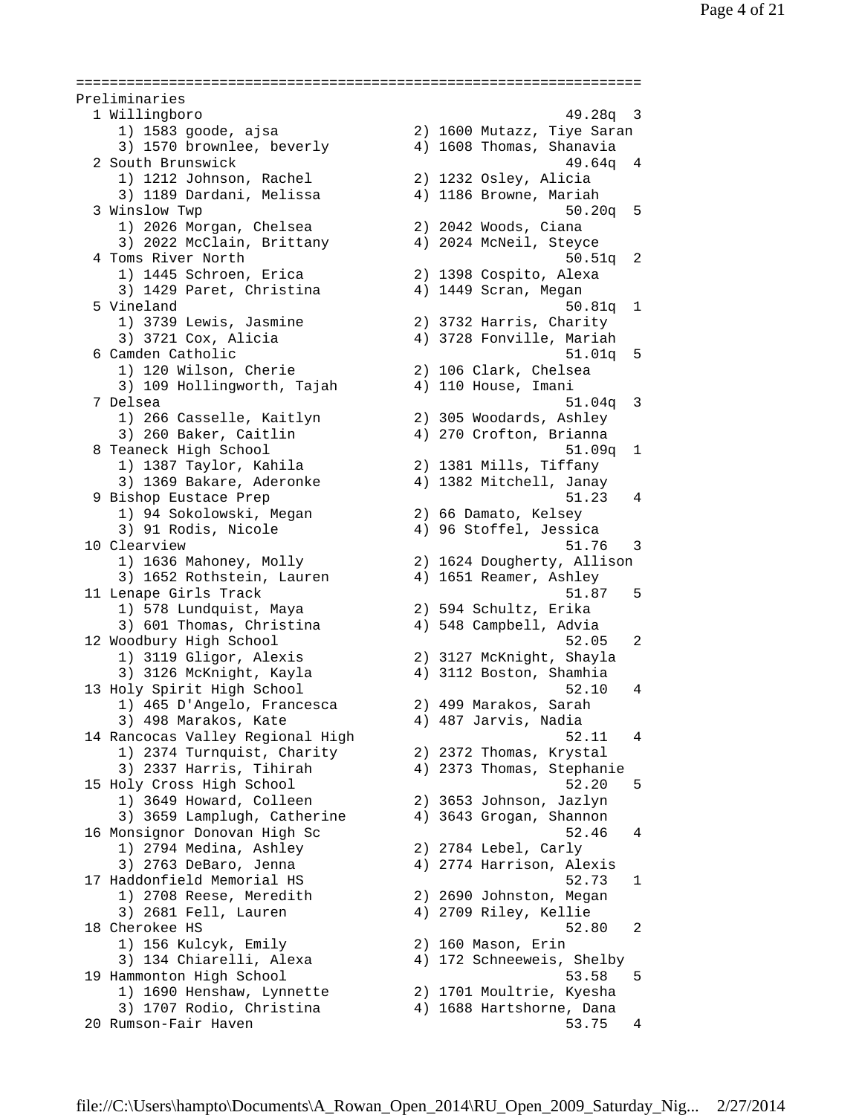=================================================================== Preliminaries 1 Willingboro 49.28q 3 1) 1583 goode, ajsa 2) 1600 Mutazz, Tiye Saran 3) 1570 brownlee, beverly 4) 1608 Thomas, Shanavia 2 South Brunswick 49.64q 4 1) 1212 Johnson, Rachel 2) 1232 Osley, Alicia 3) 1189 Dardani, Melissa 4) 1186 Browne, Mariah 3 Winslow Twp 50.20q 5 1) 2026 Morgan, Chelsea 2) 2042 Woods, Ciana 3) 2022 McClain, Brittany 4) 2024 McNeil, Steyce 4 Toms River North 50.51q 2 1) 1445 Schroen, Erica 2) 1398 Cospito, Alexa 3) 1429 Paret, Christina 4) 1449 Scran, Megan 5 Vineland 50.81q 1 1) 3739 Lewis, Jasmine 2) 3732 Harris, Charity 3) 3721 Cox, Alicia 4) 3728 Fonville, Mariah 6 Camden Catholic 51.01q 5 1) 120 Wilson, Cherie 2) 106 Clark, Chelsea 3) 109 Hollingworth, Tajah 4) 110 House, Imani 7 Delsea 51.04q 3 1) 266 Casselle, Kaitlyn 2) 305 Woodards, Ashley 3) 260 Baker, Caitlin 4) 270 Crofton, Brianna 8 Teaneck High School 51.09q 1 1) 1387 Taylor, Kahila 2) 1381 Mills, Tiffany 3) 1369 Bakare, Aderonke 4) 1382 Mitchell, Janay 9 Bishop Eustace Prep 51.23 4 1) 94 Sokolowski, Megan 2) 66 Damato, Kelsey 3) 91 Rodis, Nicole 4) 96 Stoffel, Jessica 10 Clearview 51.76 3 1) 1636 Mahoney, Molly 2) 1624 Dougherty, Allison 3) 1652 Rothstein, Lauren 4) 1651 Reamer, Ashley 11 Lenape Girls Track 51.87 5 1) 578 Lundquist, Maya 2) 594 Schultz, Erika 3) 601 Thomas, Christina 4) 548 Campbell, Advia 12 Woodbury High School 52.05 2 1) 3119 Gligor, Alexis 2) 3127 McKnight, Shayla 3) 3126 McKnight, Kayla 4) 3112 Boston, Shamhia 13 Holy Spirit High School 52.10 4 1) 465 D'Angelo, Francesca 2) 499 Marakos, Sarah 3) 498 Marakos, Kate 4) 487 Jarvis, Nadia 14 Rancocas Valley Regional High 52.11 4 1) 2374 Turnquist, Charity 2) 2372 Thomas, Krystal 3) 2337 Harris, Tihirah 4) 2373 Thomas, Stephanie 15 Holy Cross High School 52.20 5 1) 3649 Howard, Colleen 2) 3653 Johnson, Jazlyn 3) 3659 Lamplugh, Catherine 4) 3643 Grogan, Shannon 16 Monsignor Donovan High Sc 52.46 4 1) 2794 Medina, Ashley 2) 2784 Lebel, Carly 3) 2763 DeBaro, Jenna 4) 2774 Harrison, Alexis 17 Haddonfield Memorial HS 52.73 1 1) 2708 Reese, Meredith 2) 2690 Johnston, Megan 3) 2681 Fell, Lauren 4) 2709 Riley, Kellie 18 Cherokee HS 52.80 2 1) 156 Kulcyk, Emily 2) 160 Mason, Erin 3) 134 Chiarelli, Alexa 4) 172 Schneeweis, Shelby 19 Hammonton High School 53.58 5 1) 1690 Henshaw, Lynnette 2) 1701 Moultrie, Kyesha 3) 1707 Rodio, Christina 4) 1688 Hartshorne, Dana 20 Rumson-Fair Haven 53.75 4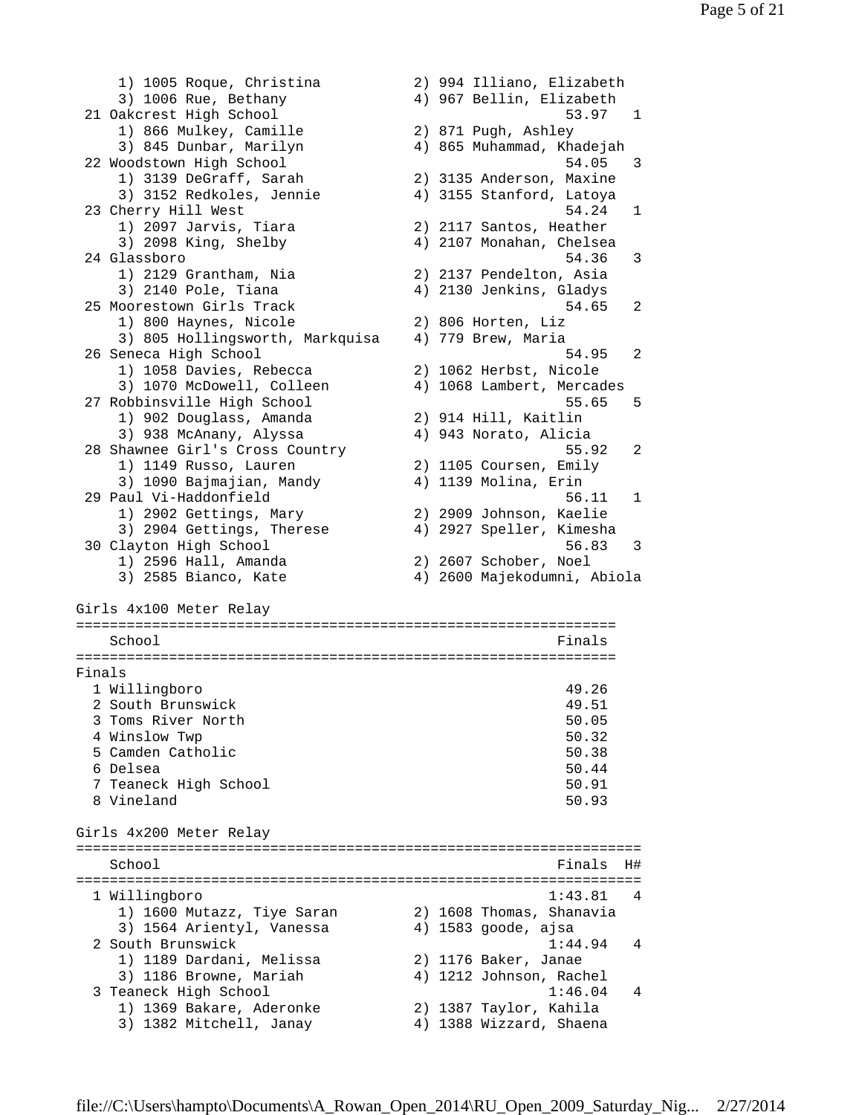1) 1005 Roque, Christina 2) 994 Illiano, Elizabeth 3) 1006 Rue, Bethany 4) 967 Bellin, Elizabeth 21 Oakcrest High School 53.97 1 1) 866 Mulkey, Camille 2) 871 Pugh, Ashley 3) 845 Dunbar, Marilyn 4) 865 Muhammad, Khadejah 22 Woodstown High School 54.05 3 1) 3139 DeGraff, Sarah 2) 3135 Anderson, Maxine 3) 3152 Redkoles, Jennie 4) 3155 Stanford, Latoya 23 Cherry Hill West 64.24 1 1) 2097 Jarvis, Tiara 2) 2117 Santos, Heather 3) 2098 King, Shelby 4) 2107 Monahan, Chelsea 24 Glassboro 54.36 3 1) 2129 Grantham, Nia 2) 2137 Pendelton, Asia 3) 2140 Pole, Tiana 4) 2130 Jenkins, Gladys 25 Moorestown Girls Track 54.65 2 1) 800 Haynes, Nicole 2) 806 Horten, Liz 3) 805 Hollingsworth, Markquisa 4) 779 Brew, Maria 26 Seneca High School 54.95 2 1) 1058 Davies, Rebecca 2) 1062 Herbst, Nicole 3) 1070 McDowell, Colleen 4) 1068 Lambert, Mercades 27 Robbinsville High School 55.65 5 1) 902 Douglass, Amanda 2) 914 Hill, Kaitlin 3) 938 McAnany, Alyssa 4) 943 Norato, Alicia 28 Shawnee Girl's Cross Country 55.92 2 1) 1149 Russo, Lauren 2) 1105 Coursen, Emily 3) 1090 Bajmajian, Mandy 4) 1139 Molina, Erin 29 Paul Vi-Haddonfield 56.11 1 1) 2902 Gettings, Mary 2) 2909 Johnson, Kaelie 3) 2904 Gettings, Therese 4) 2927 Speller, Kimesha 30 Clayton High School 56.83 3 1) 2596 Hall, Amanda 2) 2607 Schober, Noel 3) 2585 Bianco, Kate 4) 2600 Majekodumni, Abiola Girls 4x100 Meter Relay ================================================================ School **Finals** ================================================================ Finals 1 Willingboro 49.26 2 South Brunswick 49.51 3 Toms River North 50.05 4 Winslow Twp 50.32 5 Camden Catholic 50.38 6 Delsea 50.44 7 Teaneck High School 50.91 8 Vineland 50.93 Girls 4x200 Meter Relay =================================================================== School and the set of the set of the set of the set of the set of the set of the set of the set of the set of the set of the set of the set of the set of the set of the set of the set of the set of the set of the set of th =================================================================== 1 Willingboro 1:43.81 4 1) 1600 Mutazz, Tiye Saran 2) 1608 Thomas, Shanavia 3) 1564 Arientyl, Vanessa 4) 1583 goode, ajsa 2 South Brunswick 1:44.94 4 1) 1189 Dardani, Melissa 2) 1176 Baker, Janae 3) 1186 Browne, Mariah 4) 1212 Johnson, Rachel 3 Teaneck High School 1:46.04 4 1) 1369 Bakare, Aderonke 2) 1387 Taylor, Kahila 3) 1382 Mitchell, Janay 4) 1388 Wizzard, Shaena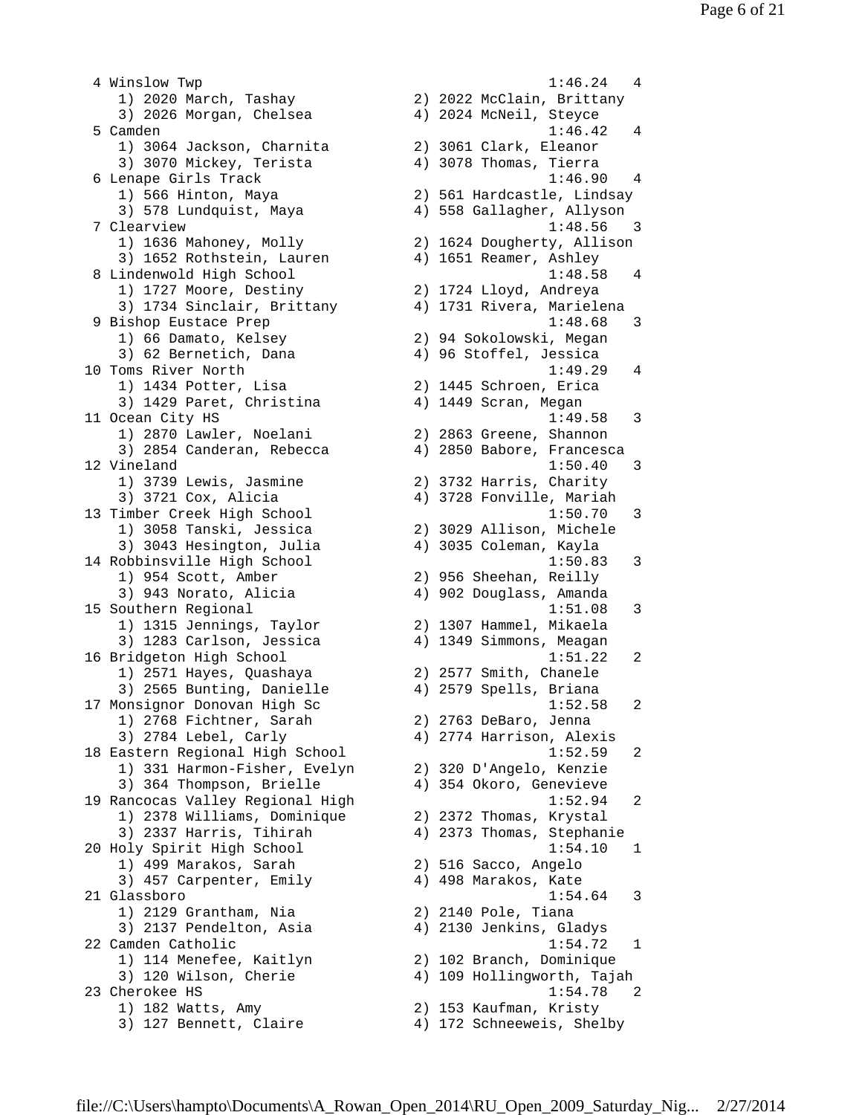4 Winslow Twp 1:46.24 4 1) 2020 March, Tashay 2) 2022 McClain, Brittany 3) 2026 Morgan, Chelsea 4) 2024 McNeil, Steyce 5 Camden 1:46.42 4 1) 3064 Jackson, Charnita 2) 3061 Clark, Eleanor 3) 3070 Mickey, Terista 4) 3078 Thomas, Tierra 6 Lenape Girls Track 1:46.90 4 1) 566 Hinton, Maya 2) 561 Hardcastle, Lindsay 3) 578 Lundquist, Maya 4) 558 Gallagher, Allyson 7 Clearview 1:48.56 3 1) 1636 Mahoney, Molly 2) 1624 Dougherty, Allison 3) 1652 Rothstein, Lauren 4) 1651 Reamer, Ashley 8 Lindenwold High School 1:48.58 4 1) 1727 Moore, Destiny 2) 1724 Lloyd, Andreya 3) 1734 Sinclair, Brittany 4) 1731 Rivera, Marielena 9 Bishop Eustace Prep 1:48.68 3 1) 66 Damato, Kelsey 2) 94 Sokolowski, Megan 3) 62 Bernetich, Dana 4) 96 Stoffel, Jessica 10 Toms River North 1:49.29 4 1) 1434 Potter, Lisa 2) 1445 Schroen, Erica 3) 1429 Paret, Christina 4) 1449 Scran, Megan 11 Ocean City HS 1:49.58 3 1) 2870 Lawler, Noelani 2) 2863 Greene, Shannon 3) 2854 Canderan, Rebecca 4) 2850 Babore, Francesca 12 Vineland 1:50.40 3 1) 3739 Lewis, Jasmine 2) 3732 Harris, Charity 3) 3721 Cox, Alicia 4) 3728 Fonville, Mariah 13 Timber Creek High School 1:50.70 3 1) 3058 Tanski, Jessica 2) 3029 Allison, Michele 3) 3043 Hesington, Julia 4) 3035 Coleman, Kayla 14 Robbinsville High School 1:50.83 3 1) 954 Scott, Amber 2) 956 Sheehan, Reilly 3) 943 Norato, Alicia 4) 902 Douglass, Amanda 15 Southern Regional 1:51.08 3 1) 1315 Jennings, Taylor 2) 1307 Hammel, Mikaela 3) 1283 Carlson, Jessica 4) 1349 Simmons, Meagan 16 Bridgeton High School 1:51.22 2 1) 2571 Hayes, Quashaya 2) 2577 Smith, Chanele 3) 2565 Bunting, Danielle 4) 2579 Spells, Briana 17 Monsignor Donovan High Sc  $1:52.58$  2 1) 2768 Fichtner, Sarah 2) 2763 DeBaro, Jenna 3) 2784 Lebel, Carly 4) 2774 Harrison, Alexis 18 Eastern Regional High School 1:52.59 2 1) 331 Harmon-Fisher, Evelyn 2) 320 D'Angelo, Kenzie 3) 364 Thompson, Brielle 4) 354 Okoro, Genevieve 19 Rancocas Valley Regional High 1:52.94 2 1) 2378 Williams, Dominique 2) 2372 Thomas, Krystal 3) 2337 Harris, Tihirah 4) 2373 Thomas, Stephanie 20 Holy Spirit High School 1:54.10 1 1) 499 Marakos, Sarah 2) 516 Sacco, Angelo 3) 457 Carpenter, Emily 4) 498 Marakos, Kate 21 Glassboro 1:54.64 3 1) 2129 Grantham, Nia 2) 2140 Pole, Tiana 1) 2129 Grantham, Nia (1988) 2140 Pole, Tiana<br>3) 2137 Pendelton, Asia (1988) 4) 2130 Jenkins, Gladys<br>2) Camden Catholic (1:54.72) 1 22 Camden Catholic 1:54.72 1 1) 114 Menefee, Kaitlyn 2) 102 Branch, Dominique 3) 120 Wilson, Cherie 4) 109 Hollingworth, Tajah 23 Cherokee HS 1:54.78 2 1) 182 Watts, Amy 2) 153 Kaufman, Kristy 3) 127 Bennett, Claire 4) 172 Schneeweis, Shelby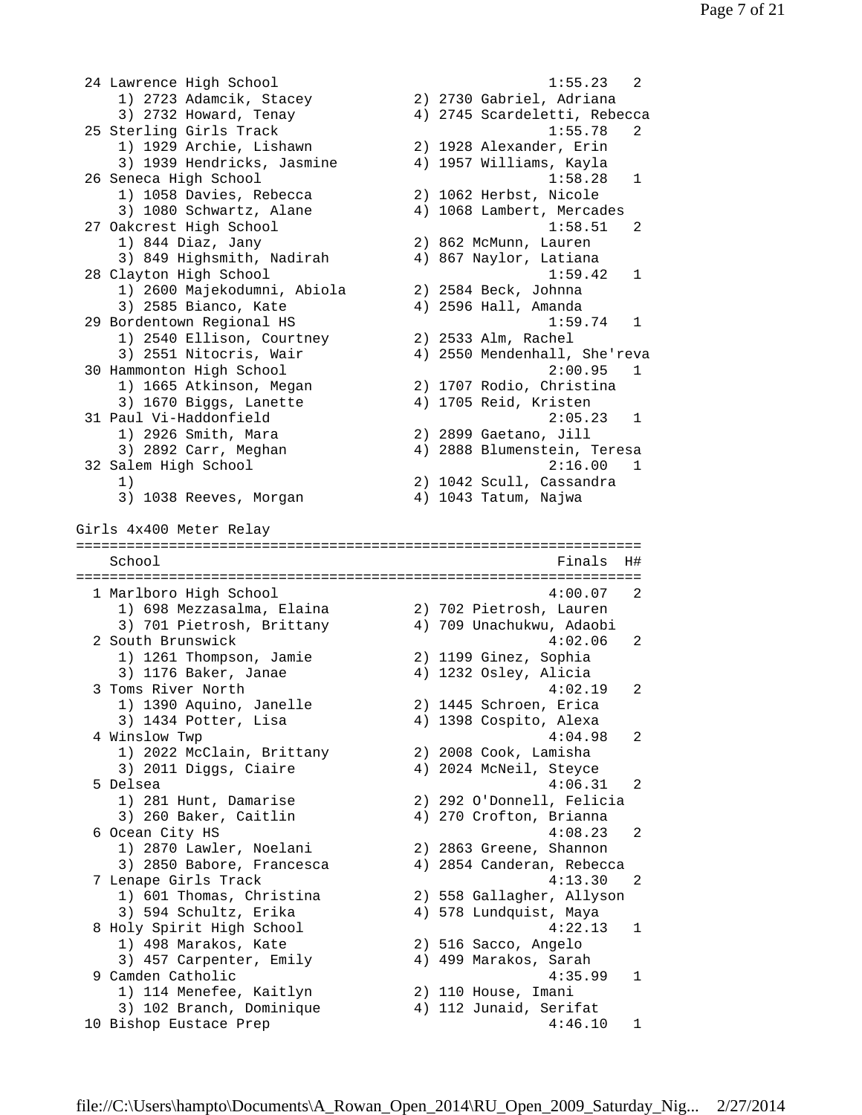24 Lawrence High School 1:55.23 2 1) 2723 Adamcik, Stacey 2) 2730 Gabriel, Adriana 3) 2732 Howard, Tenay 4) 2745 Scardeletti, Rebecca 25 Sterling Girls Track 1:55.78 2 1) 1929 Archie, Lishawn 2) 1928 Alexander, Erin 3) 1939 Hendricks, Jasmine 4) 1957 Williams, Kayla 26 Seneca High School 1:58.28 1 1) 1058 Davies, Rebecca 2) 1062 Herbst, Nicole 3) 1080 Schwartz, Alane 4) 1068 Lambert, Mercades 27 Oakcrest High School 1:58.51 2 1) 844 Diaz, Jany 2) 862 McMunn, Lauren 3) 849 Highsmith, Nadirah 4) 867 Naylor, Latiana 28 Clayton High School 1:59.42 1 1) 2600 Majekodumni, Abiola 2) 2584 Beck, Johnna 3) 2585 Bianco, Kate 4) 2596 Hall, Amanda 29 Bordentown Regional HS 1:59.74 1 1) 2540 Ellison, Courtney 2) 2533 Alm, Rachel 3) 2551 Nitocris, Wair 4) 2550 Mendenhall, She'reva 30 Hammonton High School 2:00.95 1 1) 1665 Atkinson, Megan 2) 1707 Rodio, Christina 3) 1670 Biggs, Lanette 4) 1705 Reid, Kristen 31 Paul Vi-Haddonfield 2:05.23 1 1) 2926 Smith, Mara 2) 2899 Gaetano, Jill 3) 2892 Carr, Meghan 4) 2888 Blumenstein, Teresa 32 Salem High School 2:16.00 1 1) 2) 1042 Scull, Cassandra 3) 1038 Reeves, Morgan 4) 1043 Tatum, Najwa Girls 4x400 Meter Relay =================================================================== School Finals H# =================================================================== 1 Marlboro High School 4:00.07 2 1) 698 Mezzasalma, Elaina 2) 702 Pietrosh, Lauren 3) 701 Pietrosh, Brittany 4) 709 Unachukwu, Adaobi 2 South Brunswick 4:02.06 2 1) 1261 Thompson, Jamie 2) 1199 Ginez, Sophia 3) 1176 Baker, Janae 4) 1232 Osley, Alicia 3 Toms River North 4:02.19 2 1) 1390 Aquino, Janelle 2) 1445 Schroen, Erica 3) 1434 Potter, Lisa 4) 1398 Cospito, Alexa 4 Winslow Twp 4:04.98 2 1) 2022 McClain, Brittany 2) 2008 Cook, Lamisha 3) 2011 Diggs, Ciaire 4) 2024 McNeil, Steyce 5 Delsea 4:06.31 2 1) 281 Hunt, Damarise 2) 292 O'Donnell, Felicia 3) 260 Baker, Caitlin 4) 270 Crofton, Brianna 6 Ocean City HS  $4:08.23$  2 1) 2870 Lawler, Noelani 2) 2863 Greene, Shannon 3) 2850 Babore, Francesca 4) 2854 Canderan, Rebecca 7 Lenape Girls Track 4:13.30 2 1) 601 Thomas, Christina 2) 558 Gallagher, Allyson 3) 594 Schultz, Erika 4) 578 Lundquist, Maya 8 Holy Spirit High School 4:22.13 1 1) 498 Marakos, Kate 2) 516 Sacco, Angelo 3) 457 Carpenter, Emily 4) 499 Marakos, Sarah 9 Camden Catholic 4:35.99 1 1) 114 Menefee, Kaitlyn 2) 110 House, Imani 3) 102 Branch, Dominique 4) 112 Junaid, Serifat 10 Bishop Eustace Prep 1:46.10 1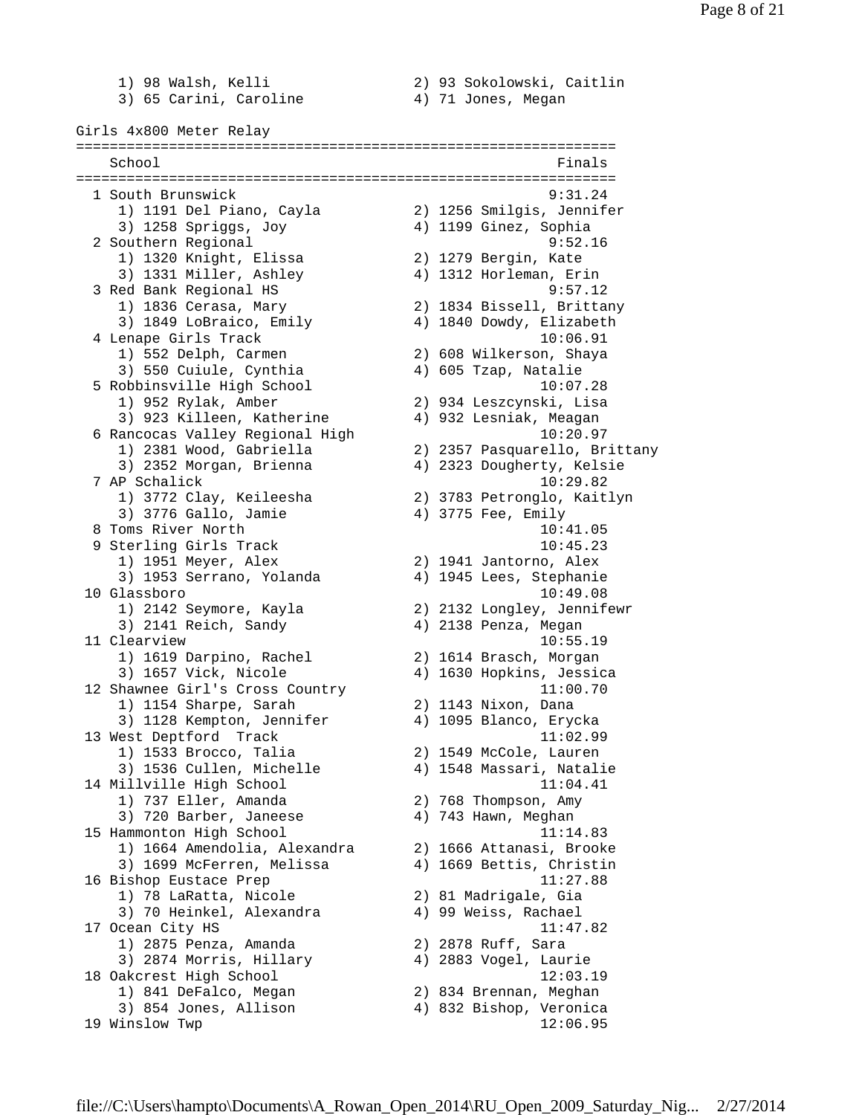1) 98 Walsh, Kelli 2) 93 Sokolowski, Caitlin 3) 65 Carini, Caroline 4) 71 Jones, Megan Girls 4x800 Meter Relay ================================================================ School Finals ================================================================ 1 South Brunswick 9:31.24 1) 1191 Del Piano, Cayla 2) 1256 Smilgis, Jennifer 3) 1258 Spriggs, Joy 4) 1199 Ginez, Sophia 2 Southern Regional 9:52.16 1) 1320 Knight, Elissa 2) 1279 Bergin, Kate 3) 1331 Miller, Ashley 4) 1312 Horleman, Erin 3 Red Bank Regional HS 9:57.12 1) 1836 Cerasa, Mary 2) 1834 Bissell, Brittany 3) 1849 LoBraico, Emily 4) 1840 Dowdy, Elizabeth 4 Lenape Girls Track 10:06.91 1) 552 Delph, Carmen 2) 608 Wilkerson, Shaya 3) 550 Cuiule, Cynthia 4) 605 Tzap, Natalie 5 Robbinsville High School 10:07.28 1) 952 Rylak, Amber 2) 934 Leszcynski, Lisa 3) 923 Killeen, Katherine 4) 932 Lesniak, Meagan 6 Rancocas Valley Regional High 10:20.97 1) 2381 Wood, Gabriella 2) 2357 Pasquarello, Brittany 3) 2352 Morgan, Brienna 4) 2323 Dougherty, Kelsie 7 AP Schalick 10:29.82 1) 3772 Clay, Keileesha 2) 3783 Petronglo, Kaitlyn 3) 3776 Gallo, Jamie 4) 3775 Fee, Emily 8 Toms River North 10:41.05 9 Sterling Girls Track 10:45.23 1) 1951 Meyer, Alex 2) 1941 Jantorno, Alex 3) 1953 Serrano, Yolanda 4) 1945 Lees, Stephanie 10 Glassboro 10:49.08 1) 2142 Seymore, Kayla 2) 2132 Longley, Jennifewr 3) 2141 Reich, Sandy 4) 2138 Penza, Megan 11 Clearview 10:55.19 1) 1619 Darpino, Rachel 2) 1614 Brasch, Morgan 3) 1657 Vick, Nicole 4) 1630 Hopkins, Jessica 12 Shawnee Girl's Cross Country 11:00.70 1) 1154 Sharpe, Sarah 2) 1143 Nixon, Dana 3) 1128 Kempton, Jennifer 4) 1095 Blanco, Erycka 13 West Deptford Track 11:02.99 1) 1533 Brocco, Talia 2) 1549 McCole, Lauren 3) 1536 Cullen, Michelle 4) 1548 Massari, Natalie 14 Millville High School 11:04.41 1) 737 Eller, Amanda 2) 768 Thompson, Amy 3) 720 Barber, Janeese  $\begin{array}{ccc} 4 & 743 \\ 4 & 4 \end{array}$  Hawn, Meghan 15 Hammonton High School 11:14.83 1) 1664 Amendolia, Alexandra 2) 1666 Attanasi, Brooke 3) 1699 McFerren, Melissa 4) 1669 Bettis, Christin 16 Bishop Eustace Prep 11:27.88 1) 78 LaRatta, Nicole 2) 81 Madrigale, Gia 3) 70 Heinkel, Alexandra 4) 99 Weiss, Rachael 17 Ocean City HS 11:47.82 1) 2875 Penza, Amanda 2) 2878 Ruff, Sara 3) 2874 Morris, Hillary 4) 2883 Vogel, Laurie 18 Oakcrest High School 12:03.19 1) 841 DeFalco, Megan 2) 834 Brennan, Meghan 3) 854 Jones, Allison 4) 832 Bishop, Veronica 19 Winslow Twp 12:06.95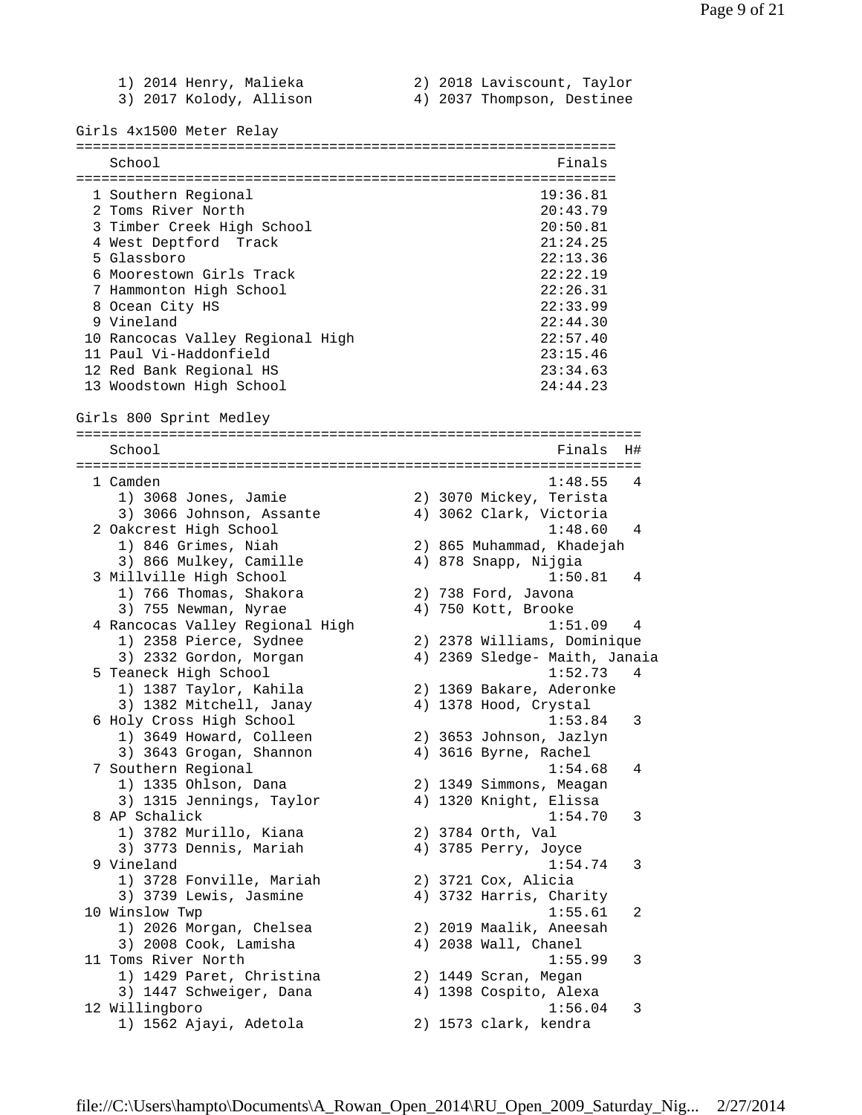1) 2014 Henry, Malieka 2) 2018 Laviscount, Taylor 3) 2017 Kolody, Allison 4) 2037 Thompson, Destinee Girls 4x1500 Meter Relay ================================================================  $\operatorname{Stool}$  Finals ================================================================ 1 Southern Regional 19:36.81 2 Toms River North 20:43.79 3 Timber Creek High School 20:50.81 4 West Deptford Track 21:24.25<br>5 Glassboro 22:13.36 5 Glassboro 22:13.36 6 Moorestown Girls Track 7 Hammonton High School 22:26.31 8 Ocean City HS 22:33.99 9 Vineland 22:44.30 10 Rancocas Valley Regional High 22:57.40 11 Paul Vi-Haddonfield 23:15.46 12 Red Bank Regional HS 23:34.63 13 Woodstown High School 24:44.23 Girls 800 Sprint Medley ===================================================================  $Schoo1$   $Finals$   $H#$ =================================================================== 1 Camden 1:48.55 4 1) 3068 Jones, Jamie 2) 3070 Mickey, Terista 3) 3066 Johnson, Assante 4) 3062 Clark, Victoria 2 Oakcrest High School 1:48.60 4 1) 846 Grimes, Niah 2) 865 Muhammad, Khadejah 3) 866 Mulkey, Camille 4) 878 Snapp, Nijgia 3 Millville High School 1:50.81 4 1) 766 Thomas, Shakora 2) 738 Ford, Javona 3) 755 Newman, Nyrae 1988 (4) 750 Kott, Brooke 4 Rancocas Valley Regional High 1:51.09 4 1) 2358 Pierce, Sydnee 2) 2378 Williams, Dominique 3) 2332 Gordon, Morgan 4) 2369 Sledge- Maith, Janaia 5 Teaneck High School 1:52.73 4 1) 1387 Taylor, Kahila 2) 1369 Bakare, Aderonke 3) 1382 Mitchell, Janay 4) 1378 Hood, Crystal 6 Holy Cross High School 1:53.84 3 1) 3649 Howard, Colleen 2) 3653 Johnson, Jazlyn 3) 3643 Grogan, Shannon 4) 3616 Byrne, Rachel 7 Southern Regional 1:54.68 4 1) 1335 Ohlson, Dana 2) 1349 Simmons, Meagan 3) 1315 Jennings, Taylor 4) 1320 Knight, Elissa 8 AP Schalick 1:54.70 3 1) 3782 Murillo, Kiana 2) 3784 Orth, Val 3) 3773 Dennis, Mariah 4) 3785 Perry, Joyce 9 Vineland 1:54.74 3 1) 3728 Fonville, Mariah 2) 3721 Cox, Alicia 3) 3739 Lewis, Jasmine 4) 3732 Harris, Charity 10 Winslow Twp 1:55.61 2 1) 2026 Morgan, Chelsea 2) 2019 Maalik, Aneesah 3) 2008 Cook, Lamisha 4) 2038 Wall, Chanel 11 Toms River North 1:55.99 3 1) 1429 Paret, Christina 2) 1449 Scran, Megan 3) 1447 Schweiger, Dana 4) 1398 Cospito, Alexa 12 Willingboro 1:56.04 3 1) 1562 Ajayi, Adetola 2) 1573 clark, kendra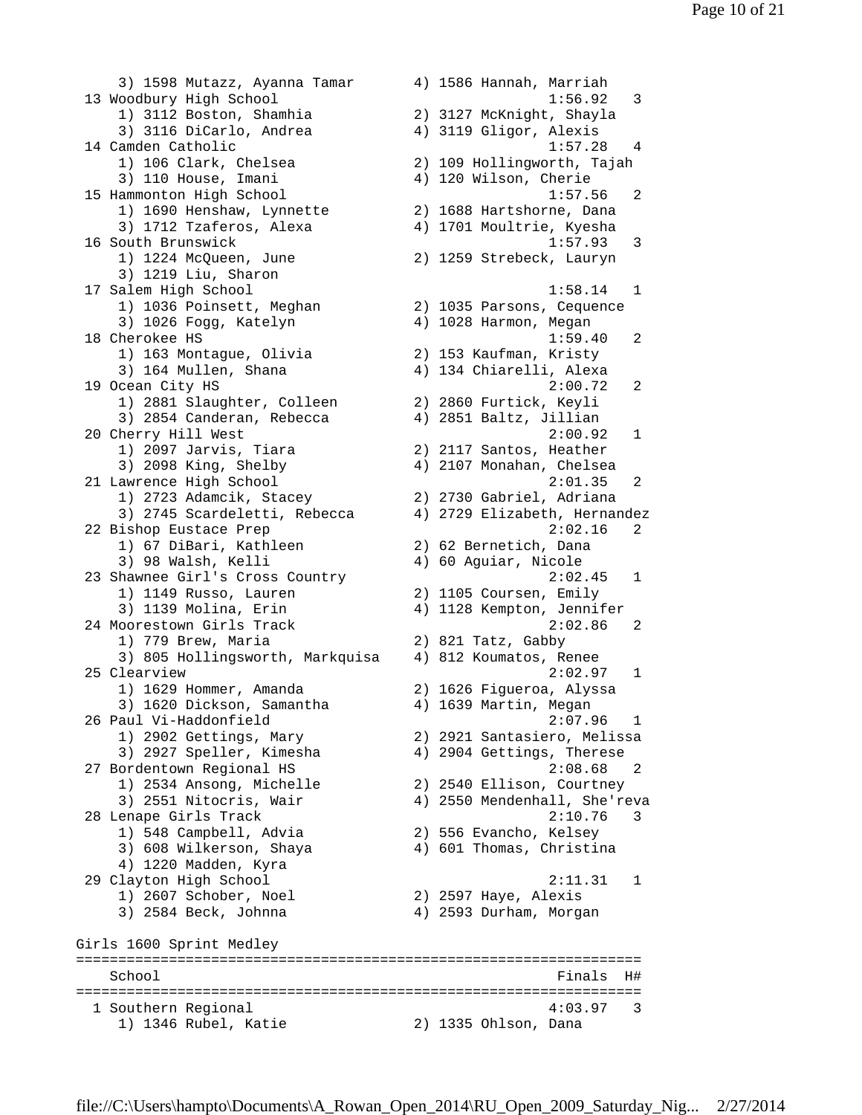3) 1598 Mutazz, Ayanna Tamar 4) 1586 Hannah, Marriah 13 Woodbury High School 1:56.92 3 1) 3112 Boston, Shamhia 2) 3127 McKnight, Shayla 3) 3116 DiCarlo, Andrea 4) 3119 Gligor, Alexis 14 Camden Catholic 1:57.28 4 1) 106 Clark, Chelsea 2) 109 Hollingworth, Tajah 3) 110 House, Imani 4) 120 Wilson, Cherie 15 Hammonton High School 1:57.56 2 1) 1690 Henshaw, Lynnette 2) 1688 Hartshorne, Dana 3) 1712 Tzaferos, Alexa 4) 1701 Moultrie, Kyesha 16 South Brunswick 1:57.93 3 1) 1224 McQueen, June 2) 1259 Strebeck, Lauryn 3) 1219 Liu, Sharon 17 Salem High School 1:58.14 1 1) 1036 Poinsett, Meghan 2) 1035 Parsons, Cequence 3) 1026 Fogg, Katelyn 4) 1028 Harmon, Megan 18 Cherokee HS 1:59.40 2 1) 163 Montague, Olivia 2) 153 Kaufman, Kristy 3) 164 Mullen, Shana 4) 134 Chiarelli, Alexa 19 Ocean City HS 2:00.72 2 1) 2881 Slaughter, Colleen 2) 2860 Furtick, Keyli 3) 2854 Canderan, Rebecca 4) 2851 Baltz, Jillian 20 Cherry Hill West 2:00.92 1 1) 2097 Jarvis, Tiara 2) 2117 Santos, Heather 3) 2098 King, Shelby 4) 2107 Monahan, Chelsea 21 Lawrence High School 2:01.35 2 1) 2723 Adamcik, Stacey 2) 2730 Gabriel, Adriana 3) 2745 Scardeletti, Rebecca 4) 2729 Elizabeth, Hernandez 22 Bishop Eustace Prep 2:02.16 2 1) 67 DiBari, Kathleen 2) 62 Bernetich, Dana 3) 98 Walsh, Kelli 4) 60 Aguiar, Nicole 23 Shawnee Girl's Cross Country 2:02.45 1 1) 1149 Russo, Lauren 2) 1105 Coursen, Emily 3) 1139 Molina, Erin 4) 1128 Kempton, Jennifer 24 Moorestown Girls Track 2:02.86 2 1) 779 Brew, Maria 2) 821 Tatz, Gabby 3) 805 Hollingsworth, Markquisa 4) 812 Koumatos, Renee 25 Clearview 2:02.97 1 1) 1629 Hommer, Amanda 2) 1626 Figueroa, Alyssa 3) 1620 Dickson, Samantha 4) 1639 Martin, Megan 26 Paul Vi-Haddonfield 2:07.96 1 1) 2902 Gettings, Mary 2) 2921 Santasiero, Melissa 3) 2927 Speller, Kimesha 4) 2904 Gettings, Therese 27 Bordentown Regional HS 2:08.68 2 1) 2534 Ansong, Michelle 2) 2540 Ellison, Courtney 3) 2551 Nitocris, Wair 4) 2550 Mendenhall, She'reva 28 Lenape Girls Track 2:10.76 3 1) 548 Campbell, Advia 2) 556 Evancho, Kelsey 3) 608 Wilkerson, Shaya 4) 601 Thomas, Christina 4) 1220 Madden, Kyra 29 Clayton High School 2:11.31 1 1) 2607 Schober, Noel 2) 2597 Haye, Alexis 3) 2584 Beck, Johnna 4) 2593 Durham, Morgan Girls 1600 Sprint Medley =================================================================== School and the set of the set of the set of the set of the set of the set of the set of the set of the set of the set of the set of the set of the set of the set of the set of the set of the set of the set of the set of th =================================================================== 1 Southern Regional 4:03.97 3 1) 1346 Rubel, Katie 2) 1335 Ohlson, Dana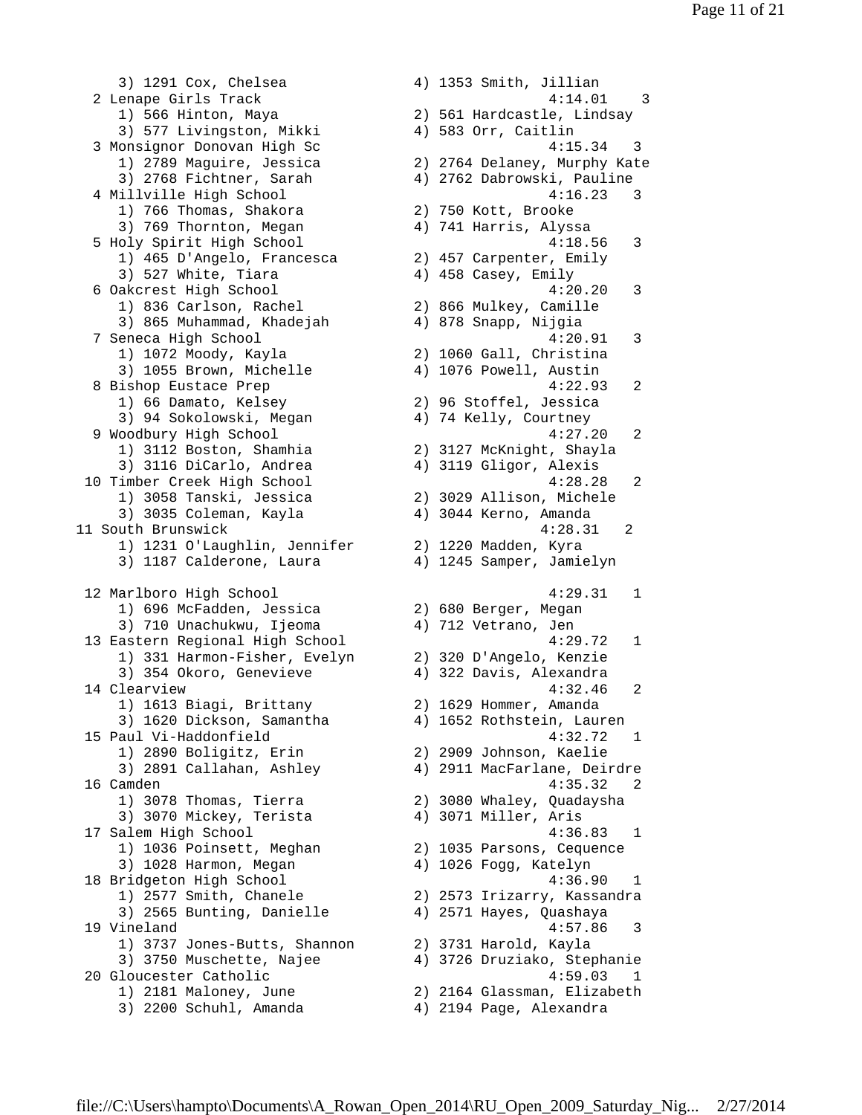3) 1291 Cox, Chelsea 4) 1353 Smith, Jillian 2 Lenape Girls Track 4:14.01 3 1) 566 Hinton, Maya 2) 561 Hardcastle, Lindsay 3) 577 Livingston, Mikki 4) 583 Orr, Caitlin 3 Monsignor Donovan High Sc 4:15.34 3 1) 2789 Maguire, Jessica 2) 2764 Delaney, Murphy Kate 3) 2768 Fichtner, Sarah 4) 2762 Dabrowski, Pauline 4 Millville High School 4:16.23 3 1) 766 Thomas, Shakora 2) 750 Kott, Brooke 3) 769 Thornton, Megan 4) 741 Harris, Alyssa 5 Holy Spirit High School 4:18.56 3 1) 465 D'Angelo, Francesca 2) 457 Carpenter, Emily 3) 527 White, Tiara 4) 458 Casey, Emily 6 Oakcrest High School 4:20.20 3 1) 836 Carlson, Rachel 2) 866 Mulkey, Camille 3) 865 Muhammad, Khadejah 4) 878 Snapp, Nijgia 7 Seneca High School 4:20.91 3 1) 1072 Moody, Kayla 2) 1060 Gall, Christina 3) 1055 Brown, Michelle 4) 1076 Powell, Austin 8 Bishop Eustace Prep 2021 2021 2022 12:22.93 2 1) 66 Damato, Kelsey 2) 96 Stoffel, Jessica 3) 94 Sokolowski, Megan 4) 74 Kelly, Courtney 9 Woodbury High School 4:27.20 2 1) 3112 Boston, Shamhia 2) 3127 McKnight, Shayla 3) 3116 DiCarlo, Andrea 4) 3119 Gligor, Alexis 10 Timber Creek High School 4:28.28 2 1) 3058 Tanski, Jessica 2) 3029 Allison, Michele 3) 3035 Coleman, Kayla 4) 3044 Kerno, Amanda 11 South Brunswick 4:28.31 2 1) 1231 O'Laughlin, Jennifer 2) 1220 Madden, Kyra 3) 1187 Calderone, Laura 4) 1245 Samper, Jamielyn 12 Marlboro High School 4:29.31 1 1) 696 McFadden, Jessica 2) 680 Berger, Megan 3) 710 Unachukwu, Ijeoma 4) 712 Vetrano, Jen 13 Eastern Regional High School 4:29.72 1 1) 331 Harmon-Fisher, Evelyn 2) 320 D'Angelo, Kenzie 3) 354 Okoro, Genevieve 4) 322 Davis, Alexandra 14 Clearview 4:32.46 2 1) 1613 Biagi, Brittany 2) 1629 Hommer, Amanda 3) 1620 Dickson, Samantha 4) 1652 Rothstein, Lauren 15 Paul Vi-Haddonfield 4:32.72 1 1) 2890 Boligitz, Erin 2) 2909 Johnson, Kaelie 3) 2891 Callahan, Ashley 4) 2911 MacFarlane, Deirdre 16 Camden 4:35.32 2 1) 3078 Thomas, Tierra 2) 3080 Whaley, Quadaysha 3) 3070 Mickey, Terista 4) 3071 Miller, Aris 17 Salem High School 4:36.83 1 1) 1036 Poinsett, Meghan 2) 1035 Parsons, Cequence 3) 1028 Harmon, Megan 4) 1026 Fogg, Katelyn 18 Bridgeton High School 4:36.90 1 1) 2577 Smith, Chanele 2) 2573 Irizarry, Kassandra 3) 2565 Bunting, Danielle 4) 2571 Hayes, Quashaya 19 Vineland 4:57.86 3 1) 3737 Jones-Butts, Shannon 2) 3731 Harold, Kayla 3) 3750 Muschette, Najee 4) 3726 Druziako, Stephanie 20 Gloucester Catholic 4:59.03 1 1) 2181 Maloney, June 2) 2164 Glassman, Elizabeth 3) 2200 Schuhl, Amanda 4) 2194 Page, Alexandra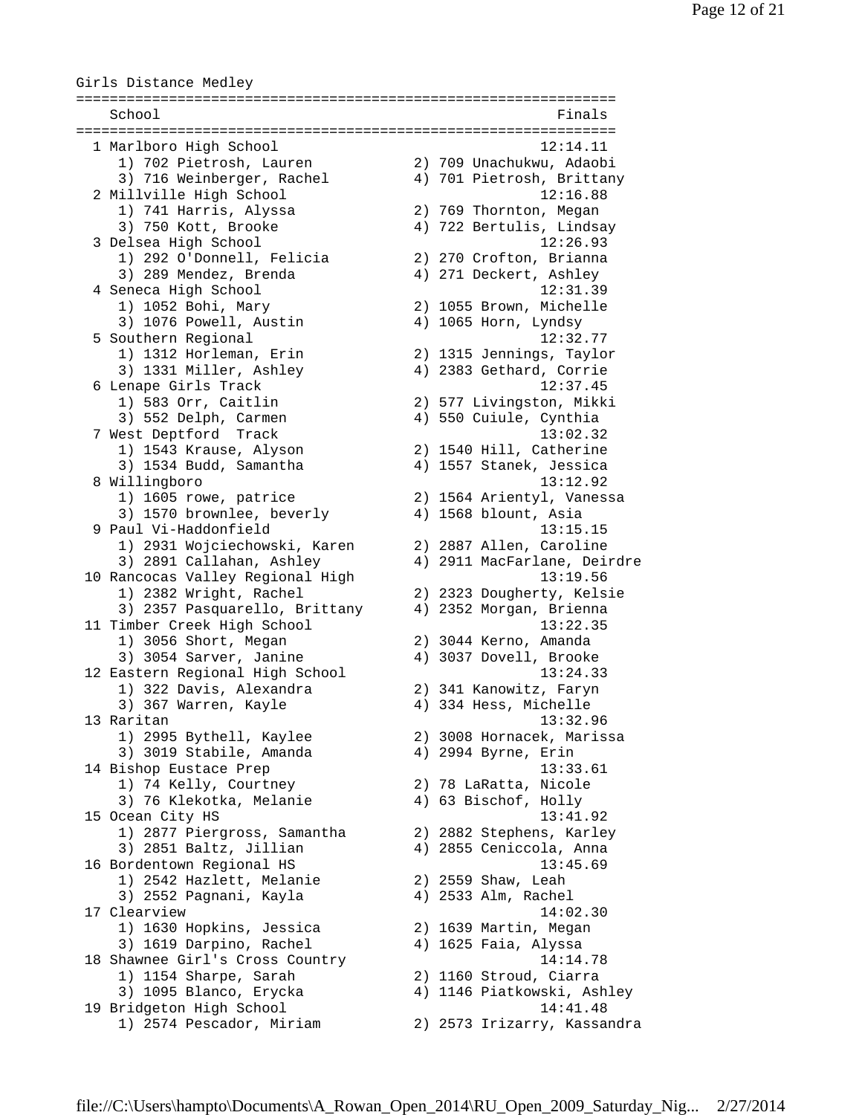Girls Distance Medley ================================================================ School Finals and School Finals and School Finals and School Finals and School Finals and School Finals and School Finals and School Finals and School Finals and School Finals and School Finals and School Finals and School ================================================================ 1 Marlboro High School 12:14.11 1) 702 Pietrosh, Lauren 2) 709 Unachukwu, Adaobi 3) 716 Weinberger, Rachel 4) 701 Pietrosh, Brittany 2 Millville High School 12:16.88 1) 741 Harris, Alyssa 2) 769 Thornton, Megan 3) 750 Kott, Brooke 4) 722 Bertulis, Lindsay 3 Delsea High School 12:26.93 12:26.93<br>
1) 292 O'Donnell, Felicia 2) 270 Crofton, Brianna<br>
3) 289 Mendez, Brenda 4) 271 Deckert, Ashley<br>
Senece High School 3) 289 Mendez, Brenda 4) 271 Deckert, Ashley 4 Seneca High School 12:31.39 1) 1052 Bohi, Mary 2) 1055 Brown, Michelle 3) 1076 Powell, Austin 4) 1065 Horn, Lyndsy 5 Southern Regional 12:32.77 1) 1312 Horleman, Erin 2) 1315 Jennings, Taylor 3) 1331 Miller, Ashley 4) 2383 Gethard, Corrie 6 Lenape Girls Track 12:37.45 1) 583 Orr, Caitlin 2) 577 Livingston, Mikki 3) 552 Delph, Carmen 4) 550 Cuiule, Cynthia 7 West Deptford Track 13:02.32 1) 1543 Krause, Alyson 2) 1540 Hill, Catherine 3) 1534 Budd, Samantha 4) 1557 Stanek, Jessica 8 Willingboro 13:12.92 1) 1605 rowe, patrice 2) 1564 Arientyl, Vanessa 3) 1570 brownlee, beverly 4) 1568 blount, Asia 9 Paul Vi-Haddonfield 13:15.15 1) 2931 Wojciechowski, Karen 2) 2887 Allen, Caroline 3) 2891 Callahan, Ashley 4) 2911 MacFarlane, Deirdre 10 Rancocas Valley Regional High 13:19.56 1) 2382 Wright, Rachel 2) 2323 Dougherty, Kelsie 3) 2357 Pasquarello, Brittany 4) 2352 Morgan, Brienna 11 Timber Creek High School 13:22.35 1) 3056 Short, Megan 2) 3044 Kerno, Amanda 3) 3054 Sarver, Janine 4) 3037 Dovell, Brooke 12 Eastern Regional High School 13:24.33 1) 322 Davis, Alexandra 2) 341 Kanowitz, Faryn 3) 367 Warren, Kayle 4) 334 Hess, Michelle 13 Raritan 13:32.96 1) 2995 Bythell, Kaylee 2) 3008 Hornacek, Marissa<br>3) 3019 Stabile, Amanda 4) 2994 Byrne, Erin 3) 3019 Stabile, Amanda 4) 2994 Byrne, Erin 14 Bishop Eustace Prep 13:33.61 1) 74 Kelly, Courtney 2) 78 LaRatta, Nicole 3) 76 Klekotka, Melanie 4) 63 Bischof, Holly 15 Ocean City HS 13:41.92 1) 2877 Piergross, Samantha 2) 2882 Stephens, Karley 3) 2851 Baltz, Jillian 4) 2855 Ceniccola, Anna 16 Bordentown Regional HS 13:45.69 1) 2542 Hazlett, Melanie 2) 2559 Shaw, Leah 3) 2552 Pagnani, Kayla 4) 2533 Alm, Rachel 17 Clearview 14:02.30 1) 1630 Hopkins, Jessica 2) 1639 Martin, Megan 3) 1619 Darpino, Rachel 4) 1625 Faia, Alyssa 18 Shawnee Girl's Cross Country 14:14.78 1) 1154 Sharpe, Sarah 2) 1160 Stroud, Ciarra 3) 1095 Blanco, Erycka 4) 1146 Piatkowski, Ashley 19 Bridgeton High School 14:41.48 1) 2574 Pescador, Miriam 2) 2573 Irizarry, Kassandra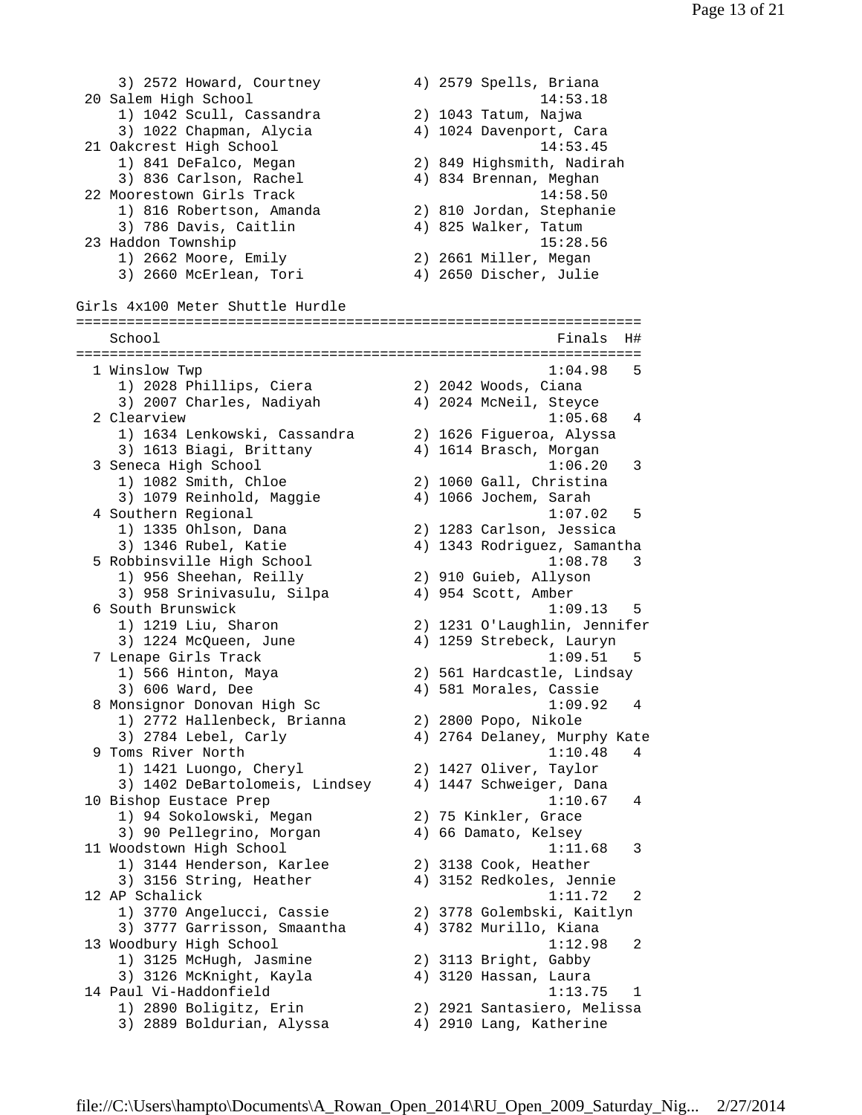3) 2572 Howard, Courtney 4) 2579 Spells, Briana 20 Salem High School 14:53.18 1) 1042 Scull, Cassandra 2) 1043 Tatum, Najwa 3) 1022 Chapman, Alycia 4) 1024 Davenport, Cara 21 Oakcrest High School 14:53.45 1) 841 DeFalco, Megan 2) 849 Highsmith, Nadirah 3) 836 Carlson, Rachel 4) 834 Brennan, Meghan 22 Moorestown Girls Track 14:58.50 1) 816 Robertson, Amanda 2) 810 Jordan, Stephanie 3) 786 Davis, Caitlin 4) 825 Walker, Tatum 23 Haddon Township 15:28.56 1) 2662 Moore, Emily 2) 2661 Miller, Megan 3) 2660 McErlean, Tori 4) 2650 Discher, Julie Girls 4x100 Meter Shuttle Hurdle =================================================================== School **Finals** H# =================================================================== 1 Winslow Twp 1:04.98 5 1) 2028 Phillips, Ciera 2) 2042 Woods, Ciana 3) 2007 Charles, Nadiyah 4) 2024 McNeil, Steyce 2 Clearview 1:05.68 4 1) 1634 Lenkowski, Cassandra 2) 1626 Figueroa, Alyssa 3) 1613 Biagi, Brittany 4) 1614 Brasch, Morgan 3 Seneca High School 1:06.20 3 1) 1082 Smith, Chloe 2) 1060 Gall, Christina 3) 1079 Reinhold, Maggie 4) 1066 Jochem, Sarah 4 Southern Regional 1:07.02 5 1) 1335 Ohlson, Dana 2) 1283 Carlson, Jessica 3) 1346 Rubel, Katie 4) 1343 Rodriguez, Samantha 5 Robbinsville High School 1:08.78 3 1) 956 Sheehan, Reilly 2) 910 Guieb, Allyson 3) 958 Srinivasulu, Silpa 4) 954 Scott, Amber 6 South Brunswick 1:09.13 5 1) 1219 Liu, Sharon 2) 1231 O'Laughlin, Jennifer 3) 1224 McQueen, June 4) 1259 Strebeck, Lauryn 7 Lenape Girls Track 1:09.51 5 1) 566 Hinton, Maya 2) 561 Hardcastle, Lindsay 3) 606 Ward, Dee 4) 581 Morales, Cassie 8 Monsignor Donovan High Sc  $1:09.92$  4 1) 2772 Hallenbeck, Brianna 2) 2800 Popo, Nikole 3) 2784 Lebel, Carly 4) 2764 Delaney, Murphy Kate 9 Toms River North 1:10.48 4 1) 1421 Luongo, Cheryl 2) 1427 Oliver, Taylor 3) 1402 DeBartolomeis, Lindsey 4) 1447 Schweiger, Dana 10 Bishop Eustace Prep 1:10.67 4 1) 94 Sokolowski, Megan 2) 75 Kinkler, Grace 3) 90 Pellegrino, Morgan 4) 66 Damato, Kelsey 11 Woodstown High School 1:11.68 3 1) 3144 Henderson, Karlee 2) 3138 Cook, Heather 3) 3156 String, Heather 4) 3152 Redkoles, Jennie 12 AP Schalick 1:11.72 2 1) 3770 Angelucci, Cassie 2) 3778 Golembski, Kaitlyn 3) 3777 Garrisson, Smaantha 4) 3782 Murillo, Kiana 13 Woodbury High School 1:12.98 2 1) 3125 McHugh, Jasmine 2) 3113 Bright, Gabby 3) 3126 McKnight, Kayla 4) 3120 Hassan, Laura 14 Paul Vi-Haddonfield 1:13.75 1 1) 2890 Boligitz, Erin 2) 2921 Santasiero, Melissa 3) 2889 Boldurian, Alyssa 4) 2910 Lang, Katherine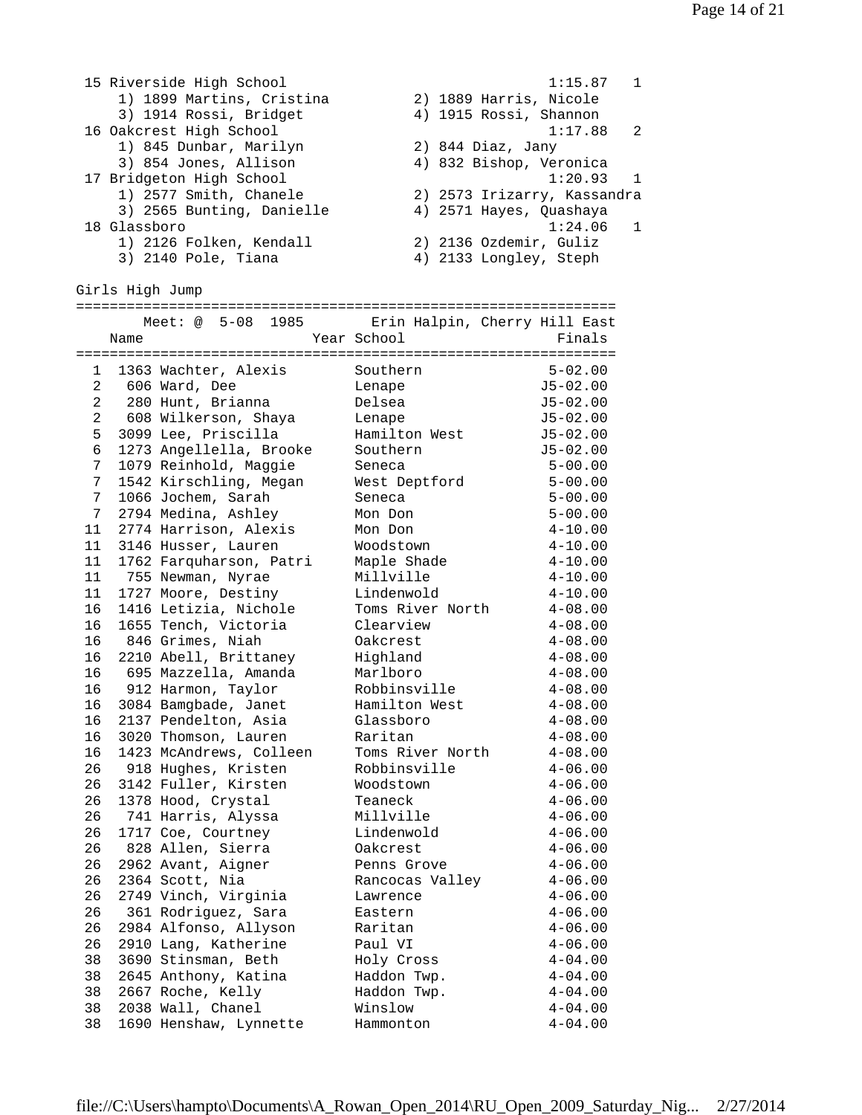```
 15 Riverside High School 1:15.87 1 
 1) 1899 Martins, Cristina 2) 1889 Harris, Nicole 
 3) 1914 Rossi, Bridget 4) 1915 Rossi, Shannon 
 16 Oakcrest High School 1:17.88 2 
 1) 845 Dunbar, Marilyn 2) 844 Diaz, Jany 
 3) 854 Jones, Allison 4) 832 Bishop, Veronica 
17 Bridgeton High School 17 Bridgeton High School
 1) 2577 Smith, Chanele 2) 2573 Irizarry, Kassandra 
 3) 2565 Bunting, Danielle 4) 2571 Hayes, Quashaya 
 18 Glassboro 1:24.06 1 
 1) 2126 Folken, Kendall 2) 2136 Ozdemir, Guliz 
 3) 2140 Pole, Tiana 4) 2133 Longley, Steph 
Girls High Jump 
================================================================ 
   Meet: @ 5-08 1985 Erin Halpin, Cherry Hill East 
Name Year School Finals================================================================ 
 1 1363 Wachter, Alexis Southern 5-02.00 
 2 606 Ward, Dee Lenape J5-02.00 
 2 280 Hunt, Brianna Delsea J5-02.00 
 2 608 Wilkerson, Shaya Lenape J5-02.00 
 5 3099 Lee, Priscilla Hamilton West J5-02.00 
 6 1273 Angellella, Brooke Southern J5-02.00 
 7 1079 Reinhold, Maggie Seneca 5-00.00 
 7 1542 Kirschling, Megan West Deptford 5-00.00 
 7 1066 Jochem, Sarah Seneca 5-00.00 
 7 2794 Medina, Ashley Mon Don 5-00.00 
 11 2774 Harrison, Alexis Mon Don 4-10.00 
 11 3146 Husser, Lauren Woodstown 4-10.00 
 11 1762 Farquharson, Patri Maple Shade 4-10.00 
 11 755 Newman, Nyrae Millville 4-10.00 
 11 1727 Moore, Destiny Lindenwold 4-10.00 
 16 1416 Letizia, Nichole Toms River North 4-08.00 
 16 1655 Tench, Victoria Clearview 4-08.00 
 16 846 Grimes, Niah Oakcrest 4-08.00 
 16 2210 Abell, Brittaney Highland 4-08.00 
 16 695 Mazzella, Amanda Marlboro 4-08.00 
 16 912 Harmon, Taylor Robbinsville 4-08.00 
 16 3084 Bamgbade, Janet Hamilton West 4-08.00 
 16 2137 Pendelton, Asia Glassboro 4-08.00 
 16 3020 Thomson, Lauren Raritan 4-08.00 
 16 1423 McAndrews, Colleen Toms River North 4-08.00 
 26 918 Hughes, Kristen Robbinsville 4-06.00 
 26 3142 Fuller, Kirsten Woodstown 4-06.00 
 26 1378 Hood, Crystal Teaneck 4-06.00 
 26 741 Harris, Alyssa Millville 4-06.00 
 26 1717 Coe, Courtney Lindenwold 4-06.00 
 26 828 Allen, Sierra Oakcrest 4-06.00 
 26 2962 Avant, Aigner Penns Grove 4-06.00 
 26 2364 Scott, Nia Rancocas Valley 4-06.00 
 26 2749 Vinch, Virginia Lawrence 4-06.00 
 26 361 Rodriguez, Sara Eastern 4-06.00 
 26 2984 Alfonso, Allyson Raritan 4-06.00 
 26 2910 Lang, Katherine Paul VI 4-06.00 
 38 3690 Stinsman, Beth Holy Cross 4-04.00 
 38 2645 Anthony, Katina Haddon Twp. 4-04.00 
 38 2667 Roche, Kelly Haddon Twp. 4-04.00 
 38 2038 Wall, Chanel Winslow 4-04.00 
 38 1690 Henshaw, Lynnette Hammonton 4-04.00
```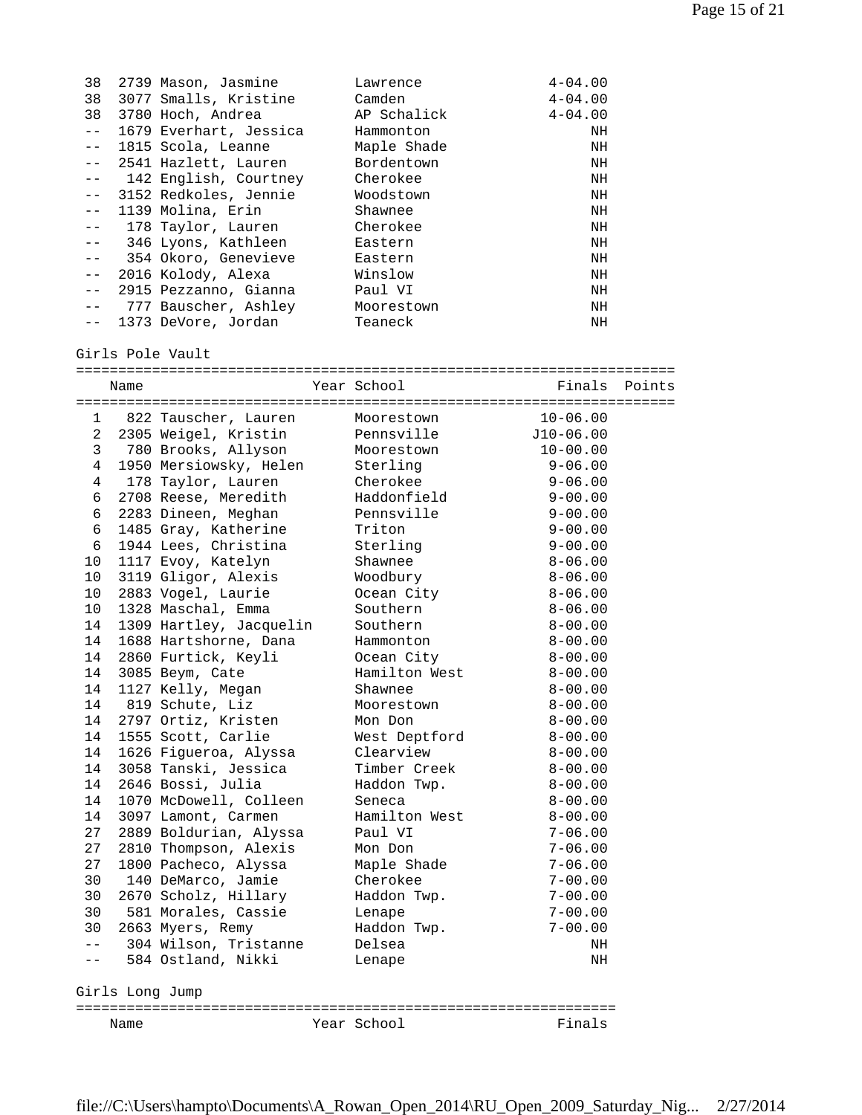| 38                                                                                                                                                                                                                                                                                                                                                                                           | 2739 Mason, Jasmine      | Lawrence    | $4 - 04.00$ |
|----------------------------------------------------------------------------------------------------------------------------------------------------------------------------------------------------------------------------------------------------------------------------------------------------------------------------------------------------------------------------------------------|--------------------------|-------------|-------------|
| 38                                                                                                                                                                                                                                                                                                                                                                                           | 3077 Smalls, Kristine    | Camden      | $4 - 04.00$ |
| 38                                                                                                                                                                                                                                                                                                                                                                                           | 3780 Hoch, Andrea        | AP Schalick | $4 - 04.00$ |
| $- -$                                                                                                                                                                                                                                                                                                                                                                                        | 1679 Everhart, Jessica   | Hammonton   | NH          |
| $- -$                                                                                                                                                                                                                                                                                                                                                                                        | 1815 Scola, Leanne       | Maple Shade | NH          |
| $  \,$                                                                                                                                                                                                                                                                                                                                                                                       | 2541 Hazlett, Lauren     | Bordentown  | NH          |
|                                                                                                                                                                                                                                                                                                                                                                                              | -- 142 English, Courtney | Cherokee    | NH          |
| $\frac{1}{2} \frac{1}{2} \frac{1}{2} \frac{1}{2} \frac{1}{2} \frac{1}{2} \frac{1}{2} \frac{1}{2} \frac{1}{2} \frac{1}{2} \frac{1}{2} \frac{1}{2} \frac{1}{2} \frac{1}{2} \frac{1}{2} \frac{1}{2} \frac{1}{2} \frac{1}{2} \frac{1}{2} \frac{1}{2} \frac{1}{2} \frac{1}{2} \frac{1}{2} \frac{1}{2} \frac{1}{2} \frac{1}{2} \frac{1}{2} \frac{1}{2} \frac{1}{2} \frac{1}{2} \frac{1}{2} \frac{$ | 3152 Redkoles, Jennie    | Woodstown   | NH          |
| $  \,$                                                                                                                                                                                                                                                                                                                                                                                       | 1139 Molina, Erin        | Shawnee     | NH          |
| $- -$                                                                                                                                                                                                                                                                                                                                                                                        | 178 Taylor, Lauren       | Cherokee    | NH          |
|                                                                                                                                                                                                                                                                                                                                                                                              | -- 346 Lyons, Kathleen   | Eastern     | NH          |
|                                                                                                                                                                                                                                                                                                                                                                                              | -- 354 Okoro, Genevieve  | Eastern     | NH          |
| $- -$                                                                                                                                                                                                                                                                                                                                                                                        | 2016 Kolody, Alexa       | Winslow     | NH          |
| $ -$                                                                                                                                                                                                                                                                                                                                                                                         | 2915 Pezzanno, Gianna    | Paul VI     | NH          |
|                                                                                                                                                                                                                                                                                                                                                                                              | 777 Bauscher, Ashley     | Moorestown  | NH          |
|                                                                                                                                                                                                                                                                                                                                                                                              | 1373 DeVore, Jordan      | Teaneck     | NH          |

## Girls Pole Vault

|       | Name            |                         | Year School   | Finals       | Points |
|-------|-----------------|-------------------------|---------------|--------------|--------|
| 1     |                 | 822 Tauscher, Lauren    | Moorestown    | $10 - 06.00$ |        |
| 2     |                 | 2305 Weigel, Kristin    | Pennsville    | $J10-06.00$  |        |
| 3     |                 | 780 Brooks, Allyson     | Moorestown    | $10 - 00.00$ |        |
| 4     |                 | 1950 Mersiowsky, Helen  | Sterling      | $9 - 06.00$  |        |
| 4     |                 | 178 Taylor, Lauren      | Cherokee      | $9 - 06.00$  |        |
| 6     |                 | 2708 Reese, Meredith    | Haddonfield   | $9 - 00.00$  |        |
| 6     |                 | 2283 Dineen, Meghan     | Pennsville    | $9 - 00.00$  |        |
| 6     |                 | 1485 Gray, Katherine    | Triton        | $9 - 00.00$  |        |
| 6     |                 | 1944 Lees, Christina    | Sterling      | $9 - 00.00$  |        |
| 10    |                 | 1117 Evoy, Katelyn      | Shawnee       | $8 - 06.00$  |        |
| 10    |                 | 3119 Gligor, Alexis     | Woodbury      | $8 - 06.00$  |        |
| 10    |                 | 2883 Vogel, Laurie      | Ocean City    | $8 - 06.00$  |        |
| 10    |                 | 1328 Maschal, Emma      | Southern      | $8 - 06.00$  |        |
| 14    |                 | 1309 Hartley, Jacquelin | Southern      | $8 - 00.00$  |        |
| 14    |                 | 1688 Hartshorne, Dana   | Hammonton     | $8 - 00.00$  |        |
| 14    |                 | 2860 Furtick, Keyli     | Ocean City    | $8 - 00.00$  |        |
| 14    |                 | 3085 Beym, Cate         | Hamilton West | $8 - 00.00$  |        |
| 14    |                 | 1127 Kelly, Megan       | Shawnee       | $8 - 00.00$  |        |
| 14    |                 | 819 Schute, Liz         | Moorestown    | $8 - 00.00$  |        |
| 14    |                 | 2797 Ortiz, Kristen     | Mon Don       | $8 - 00.00$  |        |
| 14    |                 | 1555 Scott, Carlie      | West Deptford | $8 - 00.00$  |        |
| 14    |                 | 1626 Figueroa, Alyssa   | Clearview     | $8 - 00.00$  |        |
| 14    |                 | 3058 Tanski, Jessica    | Timber Creek  | $8 - 00.00$  |        |
| 14    |                 | 2646 Bossi, Julia       | Haddon Twp.   | $8 - 00.00$  |        |
| 14    |                 | 1070 McDowell, Colleen  | Seneca        | $8 - 00.00$  |        |
| 14    |                 | 3097 Lamont, Carmen     | Hamilton West | $8 - 00.00$  |        |
| 27    |                 | 2889 Boldurian, Alyssa  | Paul VI       | $7 - 06.00$  |        |
| 27    |                 | 2810 Thompson, Alexis   | Mon Don       | $7 - 06.00$  |        |
| 27    |                 | 1800 Pacheco, Alyssa    | Maple Shade   | $7 - 06.00$  |        |
| 30    |                 | 140 DeMarco, Jamie      | Cherokee      | $7 - 00.00$  |        |
| 30    |                 | 2670 Scholz, Hillary    | Haddon Twp.   | $7 - 00.00$  |        |
| 30    |                 | 581 Morales, Cassie     | Lenape        | $7 - 00.00$  |        |
| 30    |                 | 2663 Myers, Remy        | Haddon Twp.   | $7 - 00.00$  |        |
| $- -$ |                 | 304 Wilson, Tristanne   | Delsea        | NH           |        |
| $- -$ |                 | 584 Ostland, Nikki      | Lenape        | NH           |        |
|       | Girls Long Jump |                         |               |              |        |
|       | Name            |                         | Year School   | Finals       |        |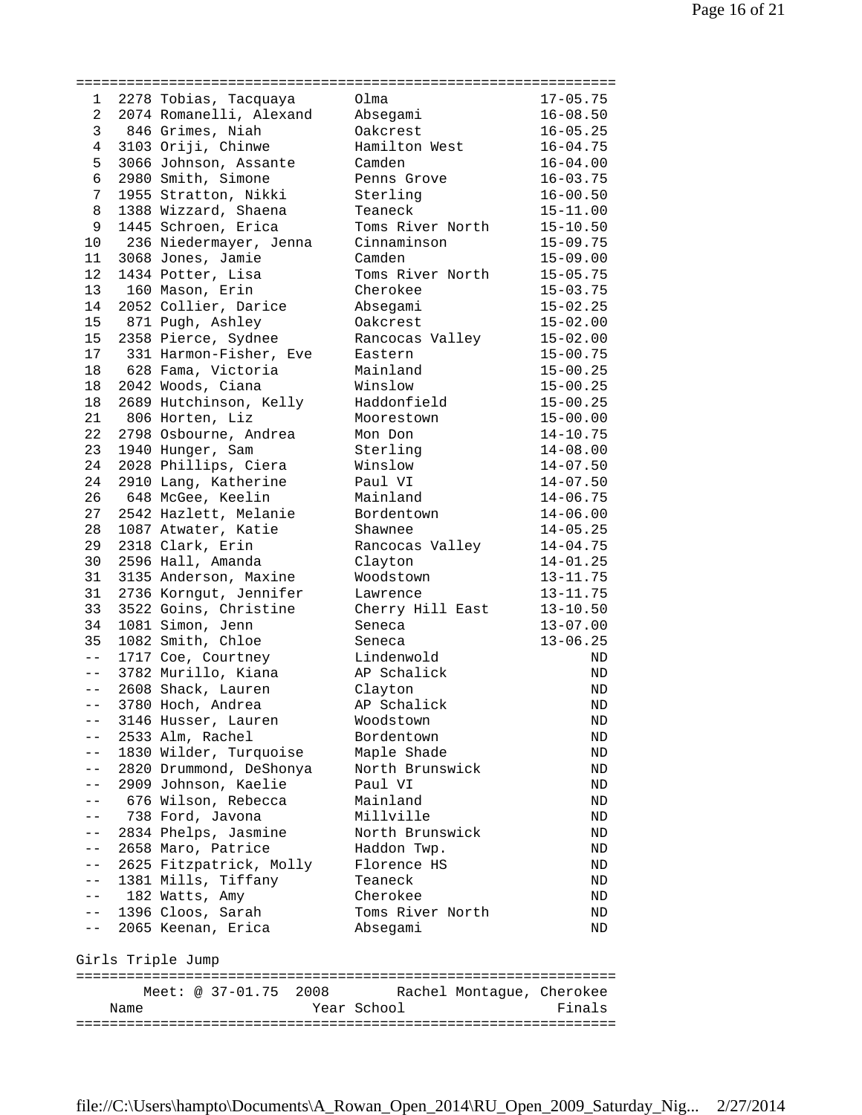| 1               | 2278 Tobias, Tacquaya   | Olma                      | $17 - 05.75$ |
|-----------------|-------------------------|---------------------------|--------------|
| $\overline{a}$  | 2074 Romanelli, Alexand | Absegami                  | $16 - 08.50$ |
| $\mathbf{3}$    | 846 Grimes, Niah        | Oakcrest                  | $16 - 05.25$ |
| 4               | 3103 Oriji, Chinwe      | Hamilton West             | $16 - 04.75$ |
| 5               | 3066 Johnson, Assante   | Camden                    | $16 - 04.00$ |
| $\epsilon$      | 2980 Smith, Simone      | Penns Grove               | $16 - 03.75$ |
| 7               | 1955 Stratton, Nikki    | Sterling                  | $16 - 00.50$ |
| 8               | 1388 Wizzard, Shaena    | Teaneck                   | $15 - 11.00$ |
| 9               | 1445 Schroen, Erica     | Toms River North          | $15 - 10.50$ |
| 10              | 236 Niedermayer, Jenna  | Cinnaminson               | $15 - 09.75$ |
| 11              | 3068 Jones, Jamie       | Camden                    | $15 - 09.00$ |
| 12              | 1434 Potter, Lisa       | Toms River North          | $15 - 05.75$ |
| 13              | 160 Mason, Erin         | Cherokee                  | $15 - 03.75$ |
| 14              | 2052 Collier, Darice    | Absegami                  | $15 - 02.25$ |
| 15              | 871 Pugh, Ashley        | Oakcrest                  | $15 - 02.00$ |
| 15              |                         |                           |              |
|                 | 2358 Pierce, Sydnee     | Rancocas Valley           | $15 - 02.00$ |
| 17              | 331 Harmon-Fisher, Eve  | Eastern                   | $15 - 00.75$ |
| 18              | 628 Fama, Victoria      | Mainland                  | $15 - 00.25$ |
| 18              | 2042 Woods, Ciana       | Winslow                   | $15 - 00.25$ |
| 18              | 2689 Hutchinson, Kelly  | Haddonfield               | $15 - 00.25$ |
| 21              | 806 Horten, Liz         | Moorestown                | $15 - 00.00$ |
| 22              | 2798 Osbourne, Andrea   | Mon Don                   | $14 - 10.75$ |
| 23              | 1940 Hunger, Sam        | Sterling                  | $14 - 08.00$ |
| 24              | 2028 Phillips, Ciera    | Winslow                   | $14 - 07.50$ |
| 24              | 2910 Lang, Katherine    | Paul VI                   | $14 - 07.50$ |
| 26              | 648 McGee, Keelin       | Mainland                  | $14 - 06.75$ |
| 27              | 2542 Hazlett, Melanie   | Bordentown                | $14 - 06.00$ |
| 28              | 1087 Atwater, Katie     | Shawnee                   | $14 - 05.25$ |
| 29              | 2318 Clark, Erin        | Rancocas Valley           | $14 - 04.75$ |
| 30              | 2596 Hall, Amanda       | Clayton                   | $14 - 01.25$ |
| 31              | 3135 Anderson, Maxine   | Woodstown                 | $13 - 11.75$ |
| 31              | 2736 Korngut, Jennifer  | Lawrence                  | $13 - 11.75$ |
| 33              | 3522 Goins, Christine   | Cherry Hill East          | $13 - 10.50$ |
| 34              | 1081 Simon, Jenn        | Seneca                    | $13 - 07.00$ |
| 35              |                         |                           |              |
| $\perp$ $\perp$ | 1082 Smith, Chloe       | Seneca                    | $13 - 06.25$ |
|                 | 1717 Coe, Courtney      | Lindenwold                | ND           |
| $- \, -$        | 3782 Murillo, Kiana     | AP Schalick               | ND           |
| $-\,-$          | 2608 Shack, Lauren      | Clayton                   | ND           |
| $- -$           | 3780 Hoch, Andrea       | AP Schalick               | <b>ND</b>    |
|                 | 3146 Husser, Lauren     | Woodstown                 | ND           |
|                 | 2533 Alm, Rachel        | Bordentown                | ND           |
| $- -$           | 1830 Wilder, Turquoise  | Maple Shade               | ND           |
| $- -$           | 2820 Drummond, DeShonya | North Brunswick           | ND           |
| $- -$           | 2909 Johnson, Kaelie    | Paul VI                   | ND           |
|                 | 676 Wilson, Rebecca     | Mainland                  | ND           |
| $- -$           | 738 Ford, Javona        | Millville                 | ND           |
| $- -$           | 2834 Phelps, Jasmine    | North Brunswick           | ND           |
| $ -$            | 2658 Maro, Patrice      | Haddon Twp.               | ND           |
| $ -$            | 2625 Fitzpatrick, Molly | Florence HS               | ND           |
| $ -$            | 1381 Mills, Tiffany     | Teaneck                   | ND           |
| $- -$           | 182 Watts, Amy          | Cherokee                  | ND           |
|                 | 1396 Cloos, Sarah       | Toms River North          |              |
| $ -$            |                         |                           | ND           |
| $- -$           | 2065 Keenan, Erica      | Absegami                  | ND           |
|                 | Girls Triple Jump       |                           |              |
|                 | Meet: @ 37-01.75 2008   | Rachel Montague, Cherokee |              |
|                 |                         |                           |              |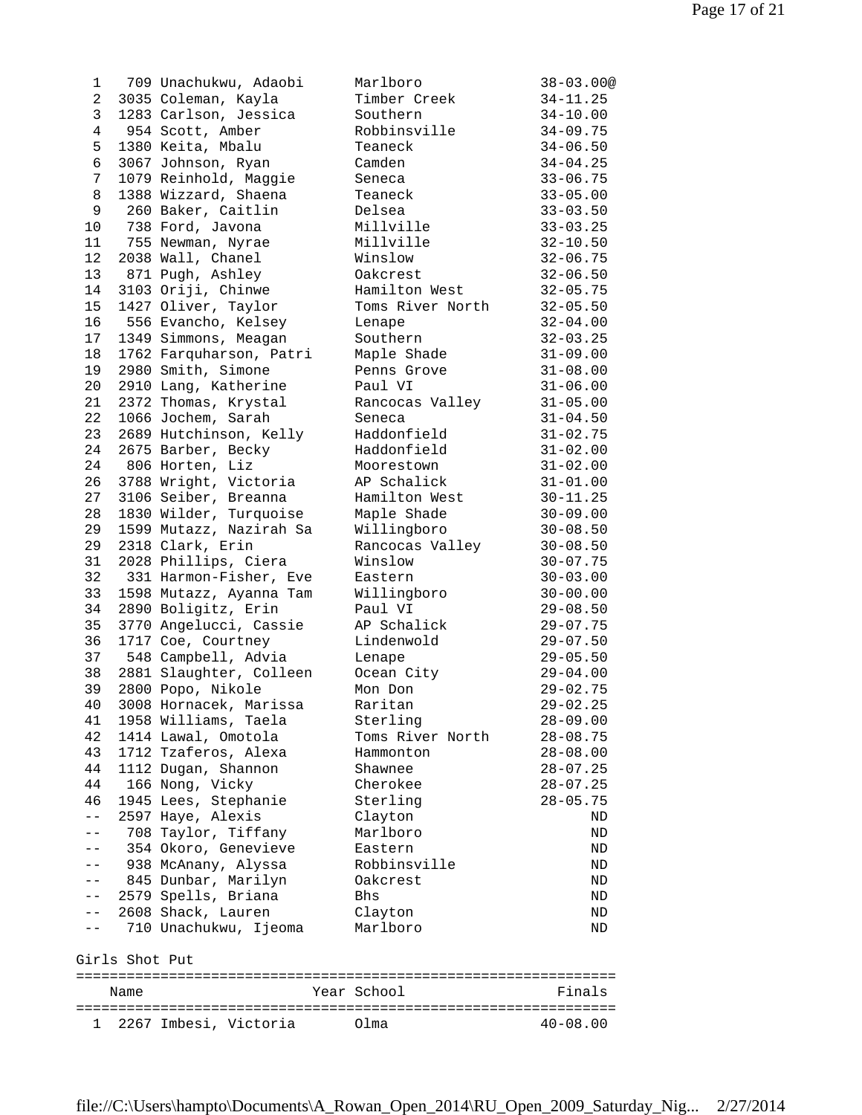1 709 Unachukwu, Adaobi Marlboro 38-03.00@ 2 3035 Coleman, Kayla Timber Creek 34-11.25 3 1283 Carlson, Jessica Southern 34-10.00 4 954 Scott, Amber Robbinsville 34-09.75 5 1380 Keita, Mbalu Teaneck 34-06.50 6 3067 Johnson, Ryan Camden 34-04.25 7 1079 Reinhold, Maggie Seneca 33-06.75 8 1388 Wizzard, Shaena Teaneck 33-05.00 9 260 Baker, Caitlin Delsea 33-03.50 10 738 Ford, Javona Millville 33-03.25 11 755 Newman, Nyrae Millville 32-10.50 12 2038 Wall, Chanel Winslow 32-06.75 13 871 Pugh, Ashley Oakcrest 32-06.50 14 3103 Oriji, Chinwe Hamilton West 32-05.75 15 1427 Oliver, Taylor Toms River North 32-05.50 16 556 Evancho, Kelsey Lenape 32-04.00 17 1349 Simmons, Meagan Southern 32-03.25 18 1762 Farquharson, Patri Maple Shade 31-09.00 19 2980 Smith, Simone Penns Grove 31-08.00 20 2910 Lang, Katherine Paul VI 31-06.00 21 2372 Thomas, Krystal Rancocas Valley 31-05.00 22 1066 Jochem, Sarah Seneca 31-04.50 23 2689 Hutchinson, Kelly Haddonfield 31-02.75 24 2675 Barber, Becky Haddonfield 31-02.00 24 806 Horten, Liz Moorestown 31-02.00 26 3788 Wright, Victoria AP Schalick 31-01.00 27 3106 Seiber, Breanna Hamilton West 30-11.25 28 1830 Wilder, Turquoise Maple Shade 30-09.00 29 1599 Mutazz, Nazirah Sa Willingboro 30-08.50 29 2318 Clark, Erin Rancocas Valley 30-08.50 31 2028 Phillips, Ciera Winslow 30-07.75 32 331 Harmon-Fisher, Eve Eastern 30-03.00 33 1598 Mutazz, Ayanna Tam Willingboro 30-00.00 34 2890 Boligitz, Erin Paul VI 29-08.50 35 3770 Angelucci, Cassie AP Schalick 29-07.75 36 1717 Coe, Courtney Lindenwold 29-07.50 37 548 Campbell, Advia Lenape 29-05.50 38 2881 Slaughter, Colleen Ocean City 29-04.00 39 2800 Popo, Nikole Mon Don 29-02.75 40 3008 Hornacek, Marissa Raritan 29-02.25 41 1958 Williams, Taela Sterling 28-09.00 42 1414 Lawal, Omotola Toms River North 28-08.75 43 1712 Tzaferos, Alexa Hammonton 28-08.00 44 1112 Dugan, Shannon Shawnee 28-07.25 44 166 Nong, Vicky Cherokee 28-07.25 46 1945 Lees, Stephanie Sterling 28-05.75 -- 2597 Haye, Alexis Clayton ND -- 708 Taylor, Tiffany Marlboro ND -- 354 Okoro, Genevieve Eastern ND -- 938 McAnany, Alyssa Robbinsville ND -- 845 Dunbar, Marilyn Oakcrest ND -- 2579 Spells, Briana Bhs ND -- 2608 Shack, Lauren Clayton ND -- 710 Unachukwu, Ijeoma Marlboro ND Girls Shot Put ================================================================ Name **The School** Year School **Finals** ================================================================

1 2267 Imbesi, Victoria Olma 40-08.00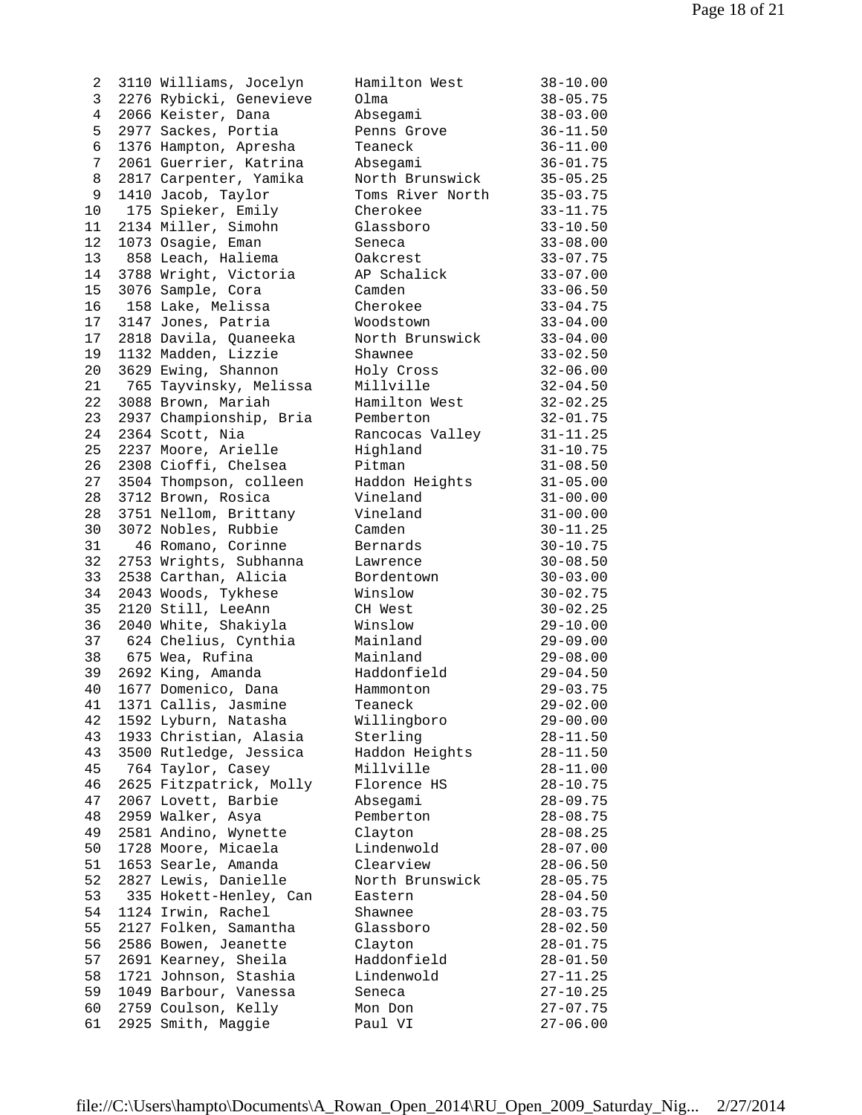| ∠              | 3110 WIII1ams, JOCEIYN  | Hamiiton west    | $38 - 10.00$ |
|----------------|-------------------------|------------------|--------------|
| 3              | 2276 Rybicki, Genevieve | Olma             | $38 - 05.75$ |
| $\overline{4}$ | 2066 Keister, Dana      | Absegami         | $38 - 03.00$ |
| 5              | 2977 Sackes, Portia     | Penns Grove      | $36 - 11.50$ |
| 6              | 1376 Hampton, Apresha   | Teaneck          | $36 - 11.00$ |
| 7              | 2061 Guerrier, Katrina  | Absegami         | $36 - 01.75$ |
| 8              | 2817 Carpenter, Yamika  | North Brunswick  | $35 - 05.25$ |
| 9              | 1410 Jacob, Taylor      | Toms River North | $35 - 03.75$ |
| 10             | 175 Spieker, Emily      | Cherokee         | $33 - 11.75$ |
| 11             | 2134 Miller, Simohn     | Glassboro        | $33 - 10.50$ |
| 12             | 1073 Osagie, Eman       | Seneca           | $33 - 08.00$ |
| 13             | 858 Leach, Haliema      | Oakcrest         | $33 - 07.75$ |
| 14             | 3788 Wright, Victoria   | AP Schalick      | $33 - 07.00$ |
| 15             | 3076 Sample, Cora       | Camden           | $33 - 06.50$ |
| 16             | 158 Lake, Melissa       | Cherokee         | $33 - 04.75$ |
| 17             | 3147 Jones, Patria      | Woodstown        | $33 - 04.00$ |
| 17             | 2818 Davila, Quaneeka   | North Brunswick  | $33 - 04.00$ |
| 19             | 1132 Madden, Lizzie     | Shawnee          | $33 - 02.50$ |
| 20             | 3629 Ewing, Shannon     | Holy Cross       | $32 - 06.00$ |
| 21             | 765 Tayvinsky, Melissa  | Millville        | $32 - 04.50$ |
| 22             | 3088 Brown, Mariah      | Hamilton West    | $32 - 02.25$ |
| 23             | 2937 Championship, Bria | Pemberton        | $32 - 01.75$ |
| 24             | 2364 Scott, Nia         | Rancocas Valley  | $31 - 11.25$ |
| 25             | 2237 Moore, Arielle     | Highland         | $31 - 10.75$ |
| 26             | 2308 Cioffi, Chelsea    | Pitman           | $31 - 08.50$ |
| 27             | 3504 Thompson, colleen  | Haddon Heights   | $31 - 05.00$ |
| 28             | 3712 Brown, Rosica      | Vineland         | $31 - 00.00$ |
| 28             | 3751 Nellom, Brittany   | Vineland         | $31 - 00.00$ |
| 30             | 3072 Nobles, Rubbie     | Camden           | $30 - 11.25$ |
| 31             | 46 Romano, Corinne      | Bernards         | $30 - 10.75$ |
| 32             | 2753 Wrights, Subhanna  | Lawrence         | $30 - 08.50$ |
| 33             | 2538 Carthan, Alicia    | Bordentown       | $30 - 03.00$ |
| 34             | 2043 Woods, Tykhese     | Winslow          | $30 - 02.75$ |
| 35             | 2120 Still, LeeAnn      | CH West          | $30 - 02.25$ |
| 36             | 2040 White, Shakiyla    | Winslow          | $29 - 10.00$ |
| 37             | 624 Chelius, Cynthia    | Mainland         | $29 - 09.00$ |
| 38             | 675 Wea, Rufina         | Mainland         | $29 - 08.00$ |
| 39             | 2692 King, Amanda       | Haddonfield      | $29 - 04.50$ |
| 40             | 1677 Domenico, Dana     | Hammonton        | $29 - 03.75$ |
| 41             | 1371 Callis, Jasmine    | Teaneck          | $29 - 02.00$ |
| 42             | 1592 Lyburn, Natasha    | Willingboro      | $29 - 00.00$ |
| 43             | 1933 Christian, Alasia  | Sterling         | $28 - 11.50$ |
| 43             | 3500 Rutledge, Jessica  | Haddon Heights   | $28 - 11.50$ |
| 45             | 764 Taylor, Casey       | Millville        | $28 - 11.00$ |
| 46             | 2625 Fitzpatrick, Molly | Florence HS      | $28 - 10.75$ |
| 47             | 2067 Lovett, Barbie     | Absegami         | $28 - 09.75$ |
| 48             | 2959 Walker, Asya       | Pemberton        | $28 - 08.75$ |
| 49             | 2581 Andino, Wynette    | Clayton          | $28 - 08.25$ |
| 50             | 1728 Moore, Micaela     | Lindenwold       | $28 - 07.00$ |
| 51             | 1653 Searle, Amanda     | Clearview        | $28 - 06.50$ |
| 52             | 2827 Lewis, Danielle    | North Brunswick  | $28 - 05.75$ |
| 53             | 335 Hokett-Henley, Can  | Eastern          | $28 - 04.50$ |
| 54             | 1124 Irwin, Rachel      | Shawnee          | $28 - 03.75$ |
| 55             | 2127 Folken, Samantha   | Glassboro        | $28 - 02.50$ |
| 56             | 2586 Bowen, Jeanette    | Clayton          | $28 - 01.75$ |
| 57             | 2691 Kearney, Sheila    | Haddonfield      | $28 - 01.50$ |
| 58             | 1721 Johnson, Stashia   | Lindenwold       | $27 - 11.25$ |
| 59             | 1049 Barbour, Vanessa   | Seneca           | $27 - 10.25$ |
| 60             | 2759 Coulson, Kelly     | Mon Don          | $27 - 07.75$ |
| 61             | 2925 Smith, Maggie      | Paul VI          | $27 - 06.00$ |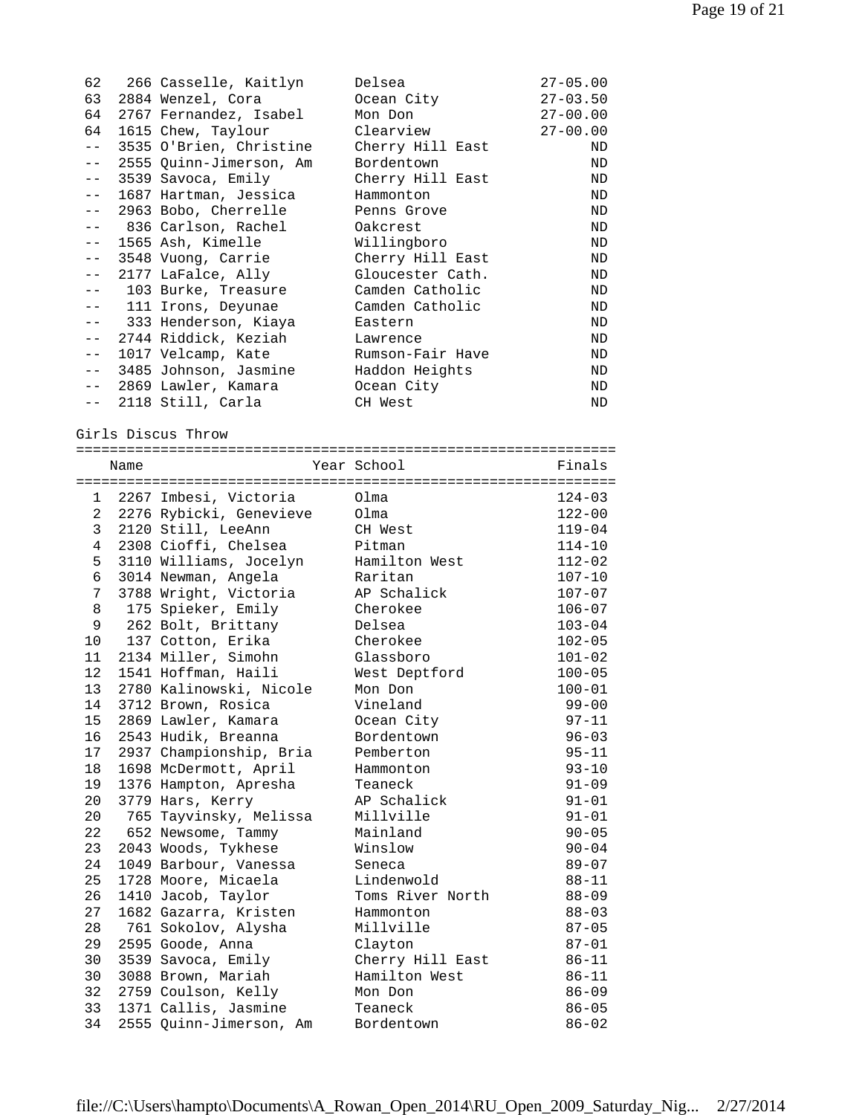|         | 62   266 Casselle, Kaitlyn | Delsea           | $27 - 05.00$ |
|---------|----------------------------|------------------|--------------|
| 63      | 2884 Wenzel, Cora          | Ocean City       | $27 - 03.50$ |
| 64      | 2767 Fernandez, Isabel     | Mon Don          | $27 - 00.00$ |
| 64      | 1615 Chew, Taylour         | Clearview        | $27 - 00.00$ |
| $- -$   | 3535 O'Brien, Christine    | Cherry Hill East | ND           |
| $- -$   | 2555 Quinn-Jimerson, Am    | Bordentown       | ND           |
| $- -$   | 3539 Savoca, Emily         | Cherry Hill East | ND           |
| $- -$   | 1687 Hartman, Jessica      | Hammonton        | ND           |
| $=$ $-$ | 2963 Bobo, Cherrelle       | Penns Grove      | ND           |
| $- -$   | 836 Carlson, Rachel        | Oakcrest         | ND           |
| $- -$   | 1565 Ash, Kimelle          | Willingboro      | ND           |
| $- -$   | 3548 Vuong, Carrie         | Cherry Hill East | ND           |
| $- -$   | 2177 LaFalce, Ally         | Gloucester Cath. | ND           |
| $-$     | 103 Burke, Treasure        | Camden Catholic  | ND           |
| $- -$   | 111 Irons, Deyunae         | Camden Catholic  | ND           |
| $- -$   | 333 Henderson, Kiaya       | Eastern          | ND           |
| $- -$   | 2744 Riddick, Keziah       | Lawrence         | ND           |
| $- -$   | 1017 Velcamp, Kate         | Rumson-Fair Have | ND           |
| $- -$   | 3485 Johnson, Jasmine      | Haddon Heights   | ND           |
| $ -$    | 2869 Lawler, Kamara        | Ocean City       | ND           |
| $- -$   | 2118 Still, Carla          | CH West          | ND           |

Girls Discus Throw

|                | Name |                           | Year School      | Finals     |  |
|----------------|------|---------------------------|------------------|------------|--|
|                |      |                           |                  |            |  |
|                |      | 1 2267 Imbesi, Victoria   | Olma             | $124 - 03$ |  |
|                |      | 2 2276 Rybicki, Genevieve | Olma             | $122 - 00$ |  |
| 3              |      | 2120 Still, LeeAnn        | CH West          | $119 - 04$ |  |
| $\overline{4}$ |      | 2308 Cioffi, Chelsea      | Pitman           | $114 - 10$ |  |
| 5              |      | 3110 Williams, Jocelyn    | Hamilton West    | $112 - 02$ |  |
| 6              |      | 3014 Newman, Angela       | Raritan          | $107 - 10$ |  |
| 7              |      | 3788 Wright, Victoria     | AP Schalick      | $107 - 07$ |  |
| 8              |      | 175 Spieker, Emily        | Cherokee         | $106 - 07$ |  |
| 9              |      | 262 Bolt, Brittany        | Delsea           | $103 - 04$ |  |
| 10             |      | 137 Cotton, Erika         | Cherokee         | $102 - 05$ |  |
| 11             |      | 2134 Miller, Simohn       | Glassboro        | $101 - 02$ |  |
| 12             |      | 1541 Hoffman, Haili       | West Deptford    | $100 - 05$ |  |
| 13             |      | 2780 Kalinowski, Nicole   | Mon Don          | $100 - 01$ |  |
| 14             |      | 3712 Brown, Rosica        | Vineland         | $99 - 00$  |  |
| 15             |      | 2869 Lawler, Kamara       | Ocean City       | $97 - 11$  |  |
| 16             |      | 2543 Hudik, Breanna       | Bordentown       | $96 - 03$  |  |
| 17             |      | 2937 Championship, Bria   | Pemberton        | $95 - 11$  |  |
| 18             |      | 1698 McDermott, April     | Hammonton        | $93 - 10$  |  |
| 19             |      | 1376 Hampton, Apresha     | Teaneck          | $91 - 09$  |  |
| 20             |      | 3779 Hars, Kerry          | AP Schalick      | $91 - 01$  |  |
| 20             |      | 765 Tayvinsky, Melissa    | Millville        | $91 - 01$  |  |
| 22             |      | 652 Newsome, Tammy        | Mainland         | $90 - 05$  |  |
| 23             |      | 2043 Woods, Tykhese       | Winslow          | $90 - 04$  |  |
| 24             |      | 1049 Barbour, Vanessa     | Seneca           | $89 - 07$  |  |
| 25             |      | 1728 Moore, Micaela       | Lindenwold       | $88 - 11$  |  |
| 26             |      | 1410 Jacob, Taylor        | Toms River North | $88 - 09$  |  |
| 27             |      | 1682 Gazarra, Kristen     | Hammonton        | $88 - 03$  |  |
| 28             |      | 761 Sokolov, Alysha       | Millville        | $87 - 05$  |  |
| 29             |      | 2595 Goode, Anna          | Clayton          | $87 - 01$  |  |
| 30             |      | 3539 Savoca, Emily        | Cherry Hill East | $86 - 11$  |  |
| 30             |      | 3088 Brown, Mariah        | Hamilton West    | $86 - 11$  |  |
| 32             |      | 2759 Coulson, Kelly       | Mon Don          | $86 - 09$  |  |
| 33             |      | 1371 Callis, Jasmine      | Teaneck          | $86 - 05$  |  |
| 34             |      | 2555 Quinn-Jimerson, Am   | Bordentown       | $86 - 02$  |  |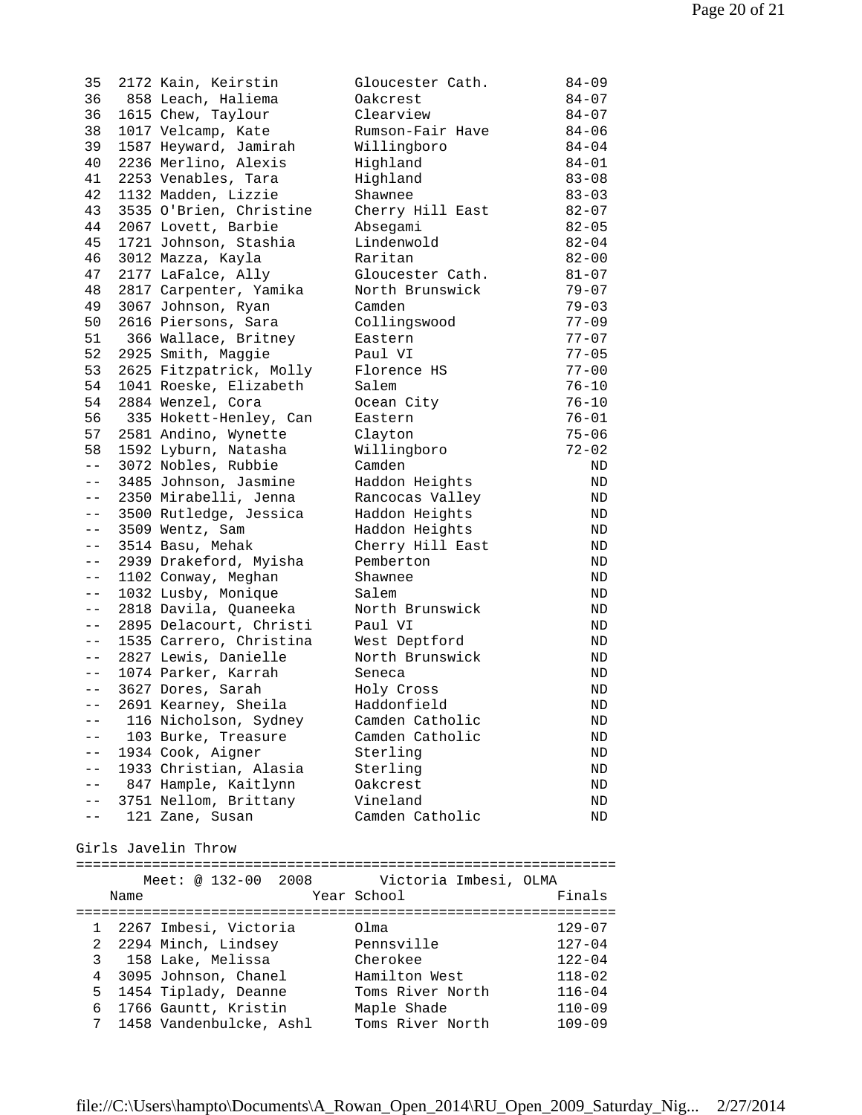| 35            |                     | 2172 Kain, Keirstin     | Gloucester Cath. | $84 - 09$ |  |
|---------------|---------------------|-------------------------|------------------|-----------|--|
| 36            |                     | 858 Leach, Haliema      | Oakcrest         | $84 - 07$ |  |
| 36            |                     | 1615 Chew, Taylour      | Clearview        | $84 - 07$ |  |
| 38            |                     | 1017 Velcamp, Kate      | Rumson-Fair Have | $84 - 06$ |  |
| 39            |                     | 1587 Heyward, Jamirah   | Willingboro      | $84 - 04$ |  |
| 40            |                     | 2236 Merlino, Alexis    | Highland         | $84 - 01$ |  |
| 41            |                     | 2253 Venables, Tara     | Highland         | $83 - 08$ |  |
| 42            |                     | 1132 Madden, Lizzie     | Shawnee          | $83 - 03$ |  |
| 43            |                     | 3535 O'Brien, Christine | Cherry Hill East | $82 - 07$ |  |
| 44            |                     | 2067 Lovett, Barbie     | Absegami         | $82 - 05$ |  |
| 45            |                     | 1721 Johnson, Stashia   | Lindenwold       | $82 - 04$ |  |
| 46            |                     | 3012 Mazza, Kayla       | Raritan          | $82 - 00$ |  |
| 47            |                     | 2177 LaFalce, Ally      | Gloucester Cath. | $81 - 07$ |  |
| 48            |                     | 2817 Carpenter, Yamika  | North Brunswick  | $79 - 07$ |  |
| 49            |                     | 3067 Johnson, Ryan      | Camden           | $79 - 03$ |  |
| 50            |                     | 2616 Piersons, Sara     | Collingswood     | $77 - 09$ |  |
| 51            |                     | 366 Wallace, Britney    | Eastern          | $77 - 07$ |  |
| 52            |                     | 2925 Smith, Maggie      | Paul VI          | $77 - 05$ |  |
| 53            |                     | 2625 Fitzpatrick, Molly | Florence HS      | $77 - 00$ |  |
| 54            |                     | 1041 Roeske, Elizabeth  | Salem            | $76 - 10$ |  |
| 54            |                     | 2884 Wenzel, Cora       | Ocean City       | $76 - 10$ |  |
| 56            |                     | 335 Hokett-Henley, Can  | Eastern          | $76 - 01$ |  |
| 57            |                     | 2581 Andino, Wynette    | Clayton          | $75 - 06$ |  |
| 58            |                     | 1592 Lyburn, Natasha    | Willingboro      | $72 - 02$ |  |
| $ -$          |                     | 3072 Nobles, Rubbie     | Camden           | ND        |  |
| $- -$         |                     | 3485 Johnson, Jasmine   | Haddon Heights   | ND        |  |
| $- -$         |                     | 2350 Mirabelli, Jenna   | Rancocas Valley  | ND        |  |
| $- -$         |                     | 3500 Rutledge, Jessica  | Haddon Heights   | ND        |  |
| $\pm$ $\pm$   |                     | 3509 Wentz, Sam         | Haddon Heights   | ND        |  |
| $- -$         |                     | 3514 Basu, Mehak        | Cherry Hill East | ND        |  |
| $--$          |                     | 2939 Drakeford, Myisha  | Pemberton        | ND        |  |
| $- -$         |                     | 1102 Conway, Meghan     | Shawnee          | ND        |  |
| $- -$         |                     | 1032 Lusby, Monique     | Salem            | ND        |  |
| $- -$         |                     | 2818 Davila, Quaneeka   | North Brunswick  | ND        |  |
| $- -$         |                     | 2895 Delacourt, Christi | Paul VI          | ND        |  |
| $\frac{1}{2}$ |                     | 1535 Carrero, Christina | West Deptford    | ND        |  |
| $ -$          |                     | 2827 Lewis, Danielle    | North Brunswick  | ND        |  |
| $ -$          |                     | 1074 Parker, Karrah     | Seneca           | ND        |  |
| $- -$         |                     | 3627 Dores, Sarah       | Holy Cross       | ND        |  |
| $--$          |                     | 2691 Kearney, Sheila    | Haddonfield      | ND.       |  |
|               |                     | 116 Nicholson, Sydney   | Camden Catholic  | ND        |  |
|               |                     | 103 Burke, Treasure     | Camden Catholic  | ND        |  |
| $-$           |                     | 1934 Cook, Aigner       | Sterling         | ND        |  |
| $- -$         |                     | 1933 Christian, Alasia  | Sterling         | ND        |  |
| $- -$         |                     | 847 Hample, Kaitlynn    | Oakcrest         | ND        |  |
| $- -$         |                     | 3751 Nellom, Brittany   | Vineland         | ND        |  |
| $ -$          |                     | 121 Zane, Susan         | Camden Catholic  | ND        |  |
|               | Girls Javelin Throw |                         |                  |           |  |

|                |      | Meet: @ 132-00 2008     | Victoria Imbesi, OLMA |            |
|----------------|------|-------------------------|-----------------------|------------|
|                | Name |                         | Year School           | Finals     |
|                |      |                         |                       |            |
| $\mathbf{1}$   |      | 2267 Imbesi, Victoria   | Olma                  | $129 - 07$ |
| $\overline{2}$ |      | 2294 Minch, Lindsey     | Pennsville            | $127 - 04$ |
|                |      | 3 158 Lake, Melissa     | Cherokee              | $122 - 04$ |
| 4              |      | 3095 Johnson, Chanel    | Hamilton West         | $118 - 02$ |
| 5.             |      | 1454 Tiplady, Deanne    | Toms River North      | $116 - 04$ |
| б.             |      | 1766 Gauntt, Kristin    | Maple Shade           | $110 - 09$ |
| 7              |      | 1458 Vandenbulcke, Ashl | Toms River North      | $109 - 09$ |